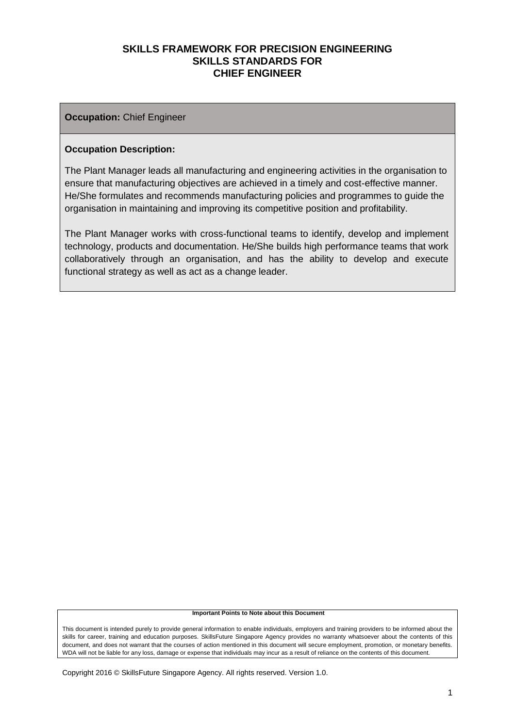#### **Occupation:** Chief Engineer

#### **Occupation Description:**

The Plant Manager leads all manufacturing and engineering activities in the organisation to ensure that manufacturing objectives are achieved in a timely and cost-effective manner. He/She formulates and recommends manufacturing policies and programmes to guide the organisation in maintaining and improving its competitive position and profitability.

The Plant Manager works with cross-functional teams to identify, develop and implement technology, products and documentation. He/She builds high performance teams that work collaboratively through an organisation, and has the ability to develop and execute functional strategy as well as act as a change leader.

#### **Important Points to Note about this Document**

This document is intended purely to provide general information to enable individuals, employers and training providers to be informed about the skills for career, training and education purposes. SkillsFuture Singapore Agency provides no warranty whatsoever about the contents of this document, and does not warrant that the courses of action mentioned in this document will secure employment, promotion, or monetary benefits. WDA will not be liable for any loss, damage or expense that individuals may incur as a result of reliance on the contents of this document.

Copyright 2016 © SkillsFuture Singapore Agency. All rights reserved. Version 1.0.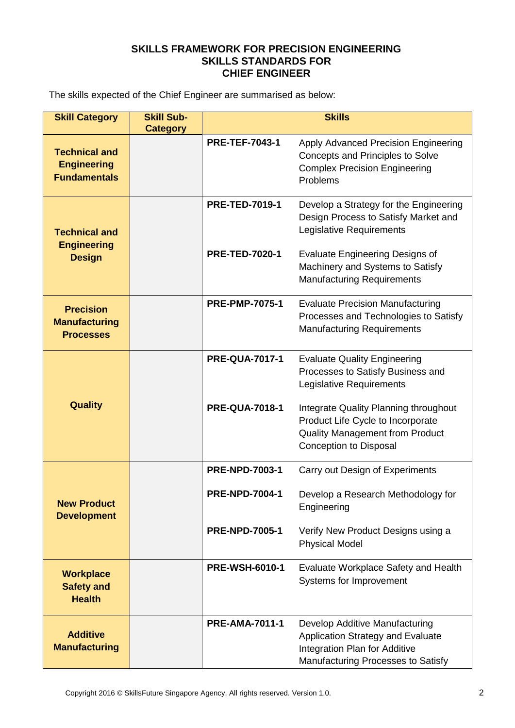The skills expected of the Chief Engineer are summarised as below:

| <b>Skill Category</b>                                             | <b>Skill Sub-</b><br><b>Category</b> | <b>Skills</b>         |                                                                                                                                                       |  |
|-------------------------------------------------------------------|--------------------------------------|-----------------------|-------------------------------------------------------------------------------------------------------------------------------------------------------|--|
| <b>Technical and</b><br><b>Engineering</b><br><b>Fundamentals</b> |                                      | <b>PRE-TEF-7043-1</b> | Apply Advanced Precision Engineering<br><b>Concepts and Principles to Solve</b><br><b>Complex Precision Engineering</b><br>Problems                   |  |
| <b>Technical and</b><br><b>Engineering</b>                        |                                      | <b>PRE-TED-7019-1</b> | Develop a Strategy for the Engineering<br>Design Process to Satisfy Market and<br>Legislative Requirements                                            |  |
| <b>Design</b>                                                     |                                      | <b>PRE-TED-7020-1</b> | <b>Evaluate Engineering Designs of</b><br>Machinery and Systems to Satisfy<br><b>Manufacturing Requirements</b>                                       |  |
| <b>Precision</b><br><b>Manufacturing</b><br><b>Processes</b>      |                                      | <b>PRE-PMP-7075-1</b> | <b>Evaluate Precision Manufacturing</b><br>Processes and Technologies to Satisfy<br><b>Manufacturing Requirements</b>                                 |  |
|                                                                   |                                      | <b>PRE-QUA-7017-1</b> | <b>Evaluate Quality Engineering</b><br>Processes to Satisfy Business and<br>Legislative Requirements                                                  |  |
| <b>Quality</b>                                                    |                                      | <b>PRE-QUA-7018-1</b> | Integrate Quality Planning throughout<br>Product Life Cycle to Incorporate<br><b>Quality Management from Product</b><br><b>Conception to Disposal</b> |  |
|                                                                   |                                      | <b>PRE-NPD-7003-1</b> | Carry out Design of Experiments                                                                                                                       |  |
| <b>New Product</b><br><b>Development</b>                          |                                      | <b>PRE-NPD-7004-1</b> | Develop a Research Methodology for<br>Engineering                                                                                                     |  |
|                                                                   |                                      | <b>PRE-NPD-7005-1</b> | Verify New Product Designs using a<br><b>Physical Model</b>                                                                                           |  |
| <b>Workplace</b><br><b>Safety and</b><br><b>Health</b>            |                                      | <b>PRE-WSH-6010-1</b> | Evaluate Workplace Safety and Health<br>Systems for Improvement                                                                                       |  |
| <b>Additive</b><br><b>Manufacturing</b>                           |                                      | <b>PRE-AMA-7011-1</b> | Develop Additive Manufacturing<br>Application Strategy and Evaluate<br>Integration Plan for Additive<br>Manufacturing Processes to Satisfy            |  |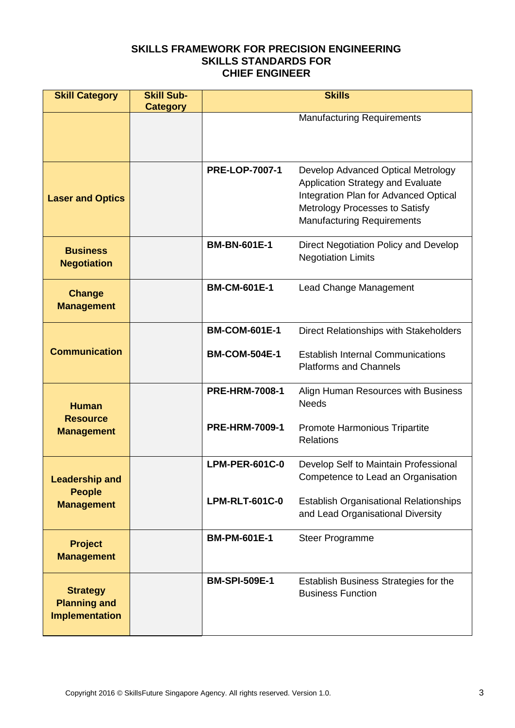| <b>Skill Category</b>                                           | <b>Skill Sub-</b><br><b>Category</b> | <b>Skills</b>         |                                                                                                                                                                                                |  |
|-----------------------------------------------------------------|--------------------------------------|-----------------------|------------------------------------------------------------------------------------------------------------------------------------------------------------------------------------------------|--|
|                                                                 |                                      |                       | <b>Manufacturing Requirements</b>                                                                                                                                                              |  |
| <b>Laser and Optics</b>                                         |                                      | <b>PRE-LOP-7007-1</b> | Develop Advanced Optical Metrology<br><b>Application Strategy and Evaluate</b><br>Integration Plan for Advanced Optical<br>Metrology Processes to Satisfy<br><b>Manufacturing Requirements</b> |  |
| <b>Business</b><br><b>Negotiation</b>                           |                                      | <b>BM-BN-601E-1</b>   | Direct Negotiation Policy and Develop<br><b>Negotiation Limits</b>                                                                                                                             |  |
| <b>Change</b><br><b>Management</b>                              |                                      | <b>BM-CM-601E-1</b>   | Lead Change Management                                                                                                                                                                         |  |
|                                                                 |                                      | <b>BM-COM-601E-1</b>  | Direct Relationships with Stakeholders                                                                                                                                                         |  |
| <b>Communication</b>                                            |                                      | <b>BM-COM-504E-1</b>  | <b>Establish Internal Communications</b><br><b>Platforms and Channels</b>                                                                                                                      |  |
| <b>Human</b><br><b>Resource</b>                                 |                                      | <b>PRE-HRM-7008-1</b> | Align Human Resources with Business<br><b>Needs</b>                                                                                                                                            |  |
| <b>Management</b>                                               |                                      | <b>PRE-HRM-7009-1</b> | Promote Harmonious Tripartite<br><b>Relations</b>                                                                                                                                              |  |
| <b>Leadership and</b>                                           |                                      | <b>LPM-PER-601C-0</b> | Develop Self to Maintain Professional<br>Competence to Lead an Organisation                                                                                                                    |  |
| <b>People</b><br><b>Management</b>                              |                                      | <b>LPM-RLT-601C-0</b> | <b>Establish Organisational Relationships</b><br>and Lead Organisational Diversity                                                                                                             |  |
| <b>Project</b><br><b>Management</b>                             |                                      | <b>BM-PM-601E-1</b>   | <b>Steer Programme</b>                                                                                                                                                                         |  |
| <b>Strategy</b><br><b>Planning and</b><br><b>Implementation</b> |                                      | <b>BM-SPI-509E-1</b>  | Establish Business Strategies for the<br><b>Business Function</b>                                                                                                                              |  |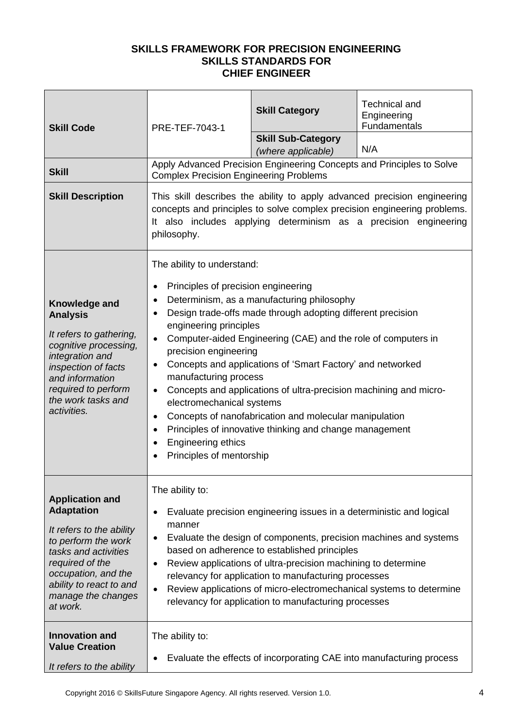| <b>Skill Code</b>                                                                                                                                                                                                             | PRE-TEF-7043-1                                                                                                                                                                                                                                                                                                                                                                                                                                                                                                                                                                                                                                                                                            | <b>Skill Category</b><br><b>Skill Sub-Category</b>                    | <b>Technical and</b><br>Engineering<br>Fundamentals |
|-------------------------------------------------------------------------------------------------------------------------------------------------------------------------------------------------------------------------------|-----------------------------------------------------------------------------------------------------------------------------------------------------------------------------------------------------------------------------------------------------------------------------------------------------------------------------------------------------------------------------------------------------------------------------------------------------------------------------------------------------------------------------------------------------------------------------------------------------------------------------------------------------------------------------------------------------------|-----------------------------------------------------------------------|-----------------------------------------------------|
|                                                                                                                                                                                                                               |                                                                                                                                                                                                                                                                                                                                                                                                                                                                                                                                                                                                                                                                                                           | (where applicable)                                                    | N/A                                                 |
| <b>Skill</b>                                                                                                                                                                                                                  | <b>Complex Precision Engineering Problems</b>                                                                                                                                                                                                                                                                                                                                                                                                                                                                                                                                                                                                                                                             | Apply Advanced Precision Engineering Concepts and Principles to Solve |                                                     |
| <b>Skill Description</b>                                                                                                                                                                                                      | This skill describes the ability to apply advanced precision engineering<br>concepts and principles to solve complex precision engineering problems.<br>It also includes applying determinism as a precision engineering<br>philosophy.                                                                                                                                                                                                                                                                                                                                                                                                                                                                   |                                                                       |                                                     |
| Knowledge and<br><b>Analysis</b><br>It refers to gathering,<br>cognitive processing,<br>integration and<br>inspection of facts<br>and information<br>required to perform<br>the work tasks and<br>activities.                 | The ability to understand:<br>Principles of precision engineering<br>Determinism, as a manufacturing philosophy<br>$\bullet$<br>Design trade-offs made through adopting different precision<br>engineering principles<br>Computer-aided Engineering (CAE) and the role of computers in<br>precision engineering<br>Concepts and applications of 'Smart Factory' and networked<br>manufacturing process<br>Concepts and applications of ultra-precision machining and micro-<br>electromechanical systems<br>Concepts of nanofabrication and molecular manipulation<br>$\bullet$<br>Principles of innovative thinking and change management<br>$\bullet$<br>Engineering ethics<br>Principles of mentorship |                                                                       |                                                     |
| <b>Application and</b><br><b>Adaptation</b><br>It refers to the ability<br>to perform the work<br>tasks and activities<br>required of the<br>occupation, and the<br>ability to react to and<br>manage the changes<br>at work. | The ability to:<br>Evaluate precision engineering issues in a deterministic and logical<br>٠<br>manner<br>Evaluate the design of components, precision machines and systems<br>٠<br>based on adherence to established principles<br>Review applications of ultra-precision machining to determine<br>$\bullet$<br>relevancy for application to manufacturing processes<br>Review applications of micro-electromechanical systems to determine<br>$\bullet$<br>relevancy for application to manufacturing processes                                                                                                                                                                                        |                                                                       |                                                     |
| <b>Innovation and</b><br><b>Value Creation</b><br>It refers to the ability                                                                                                                                                    | The ability to:<br>$\bullet$                                                                                                                                                                                                                                                                                                                                                                                                                                                                                                                                                                                                                                                                              | Evaluate the effects of incorporating CAE into manufacturing process  |                                                     |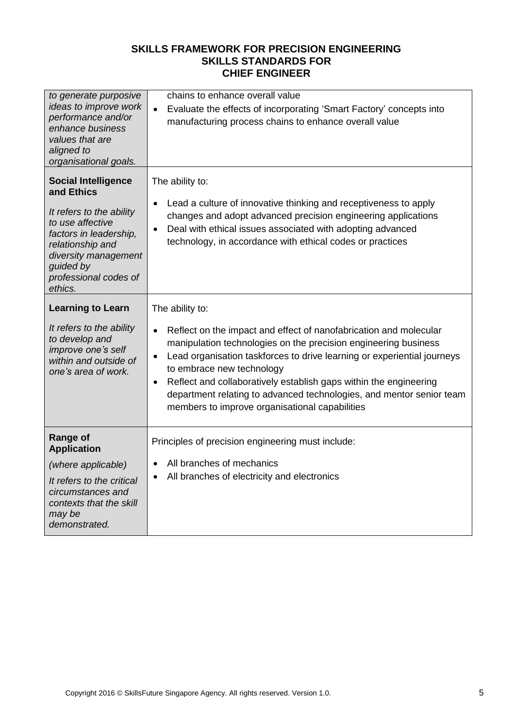| to generate purposive<br>ideas to improve work<br>performance and/or<br>enhance business<br>values that are<br>aligned to<br>organisational goals.                                                              | chains to enhance overall value<br>Evaluate the effects of incorporating 'Smart Factory' concepts into<br>$\bullet$<br>manufacturing process chains to enhance overall value                                                                                                                                                                                                                                                                                                             |
|-----------------------------------------------------------------------------------------------------------------------------------------------------------------------------------------------------------------|------------------------------------------------------------------------------------------------------------------------------------------------------------------------------------------------------------------------------------------------------------------------------------------------------------------------------------------------------------------------------------------------------------------------------------------------------------------------------------------|
| <b>Social Intelligence</b><br>and Ethics<br>It refers to the ability<br>to use affective<br>factors in leadership,<br>relationship and<br>diversity management<br>guided by<br>professional codes of<br>ethics. | The ability to:<br>Lead a culture of innovative thinking and receptiveness to apply<br>changes and adopt advanced precision engineering applications<br>Deal with ethical issues associated with adopting advanced<br>$\bullet$<br>technology, in accordance with ethical codes or practices                                                                                                                                                                                             |
| <b>Learning to Learn</b><br>It refers to the ability<br>to develop and<br>improve one's self<br>within and outside of<br>one's area of work.                                                                    | The ability to:<br>Reflect on the impact and effect of nanofabrication and molecular<br>$\bullet$<br>manipulation technologies on the precision engineering business<br>Lead organisation taskforces to drive learning or experiential journeys<br>$\bullet$<br>to embrace new technology<br>Reflect and collaboratively establish gaps within the engineering<br>department relating to advanced technologies, and mentor senior team<br>members to improve organisational capabilities |
| <b>Range of</b><br><b>Application</b><br>(where applicable)<br>It refers to the critical<br>circumstances and<br>contexts that the skill<br>may be<br>demonstrated.                                             | Principles of precision engineering must include:<br>All branches of mechanics<br>$\bullet$<br>All branches of electricity and electronics                                                                                                                                                                                                                                                                                                                                               |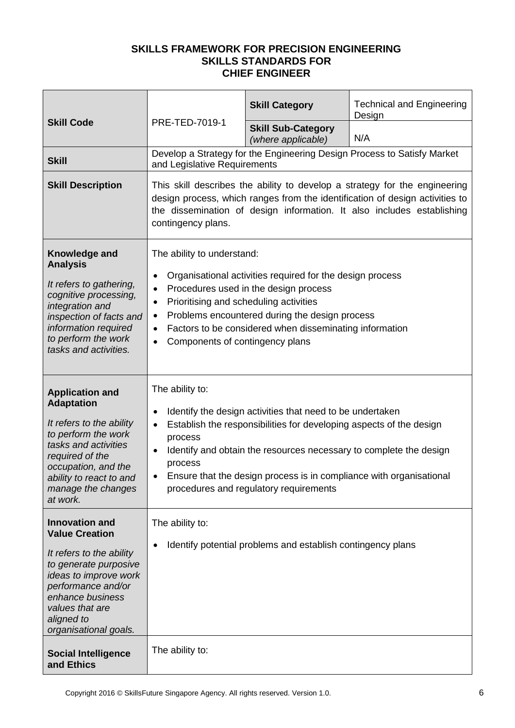|                                                                                                                                                                                                                                  | PRE-TED-7019-1                                                                                                                                                                                                                                                                                                                                                                                           | <b>Skill Category</b>                                                                                                                                                                                                                                                                                                   | <b>Technical and Engineering</b><br>Design                              |  |
|----------------------------------------------------------------------------------------------------------------------------------------------------------------------------------------------------------------------------------|----------------------------------------------------------------------------------------------------------------------------------------------------------------------------------------------------------------------------------------------------------------------------------------------------------------------------------------------------------------------------------------------------------|-------------------------------------------------------------------------------------------------------------------------------------------------------------------------------------------------------------------------------------------------------------------------------------------------------------------------|-------------------------------------------------------------------------|--|
| <b>Skill Code</b>                                                                                                                                                                                                                |                                                                                                                                                                                                                                                                                                                                                                                                          | <b>Skill Sub-Category</b><br>(where applicable)                                                                                                                                                                                                                                                                         | N/A                                                                     |  |
| <b>Skill</b>                                                                                                                                                                                                                     | and Legislative Requirements                                                                                                                                                                                                                                                                                                                                                                             |                                                                                                                                                                                                                                                                                                                         | Develop a Strategy for the Engineering Design Process to Satisfy Market |  |
| <b>Skill Description</b>                                                                                                                                                                                                         | This skill describes the ability to develop a strategy for the engineering<br>design process, which ranges from the identification of design activities to<br>the dissemination of design information. It also includes establishing<br>contingency plans.                                                                                                                                               |                                                                                                                                                                                                                                                                                                                         |                                                                         |  |
| Knowledge and<br><b>Analysis</b><br>It refers to gathering,<br>cognitive processing,<br>integration and<br>inspection of facts and<br>information required<br>to perform the work<br>tasks and activities.                       | The ability to understand:<br>Organisational activities required for the design process<br>$\bullet$<br>Procedures used in the design process<br>$\bullet$<br>Prioritising and scheduling activities<br>$\bullet$<br>Problems encountered during the design process<br>$\bullet$<br>Factors to be considered when disseminating information<br>$\bullet$<br>Components of contingency plans<br>$\bullet$ |                                                                                                                                                                                                                                                                                                                         |                                                                         |  |
| <b>Application and</b><br><b>Adaptation</b><br>It refers to the ability<br>to perform the work<br>tasks and activities<br>required of the<br>occupation, and the<br>ability to react to and<br>manage the changes<br>at work.    | The ability to:<br>$\bullet$<br>$\bullet$<br>process<br>$\bullet$<br>process                                                                                                                                                                                                                                                                                                                             | Identify the design activities that need to be undertaken<br>Establish the responsibilities for developing aspects of the design<br>Identify and obtain the resources necessary to complete the design<br>Ensure that the design process is in compliance with organisational<br>procedures and regulatory requirements |                                                                         |  |
| <b>Innovation and</b><br><b>Value Creation</b><br>It refers to the ability<br>to generate purposive<br>ideas to improve work<br>performance and/or<br>enhance business<br>values that are<br>aligned to<br>organisational goals. | The ability to:<br>$\bullet$                                                                                                                                                                                                                                                                                                                                                                             | Identify potential problems and establish contingency plans                                                                                                                                                                                                                                                             |                                                                         |  |
| <b>Social Intelligence</b><br>and Ethics                                                                                                                                                                                         | The ability to:                                                                                                                                                                                                                                                                                                                                                                                          |                                                                                                                                                                                                                                                                                                                         |                                                                         |  |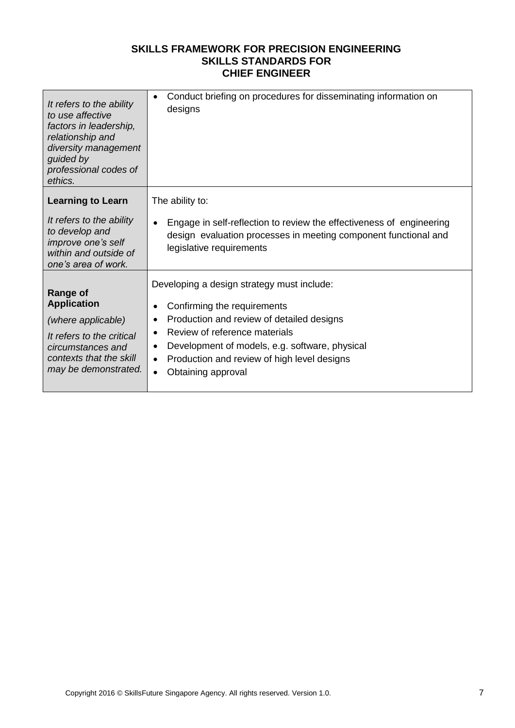| It refers to the ability<br>to use affective<br>factors in leadership,<br>relationship and<br>diversity management<br>guided by<br>professional codes of<br>ethics. | Conduct briefing on procedures for disseminating information on<br>$\bullet$<br>designs                                                                                                                                                                                                                                                                      |
|---------------------------------------------------------------------------------------------------------------------------------------------------------------------|--------------------------------------------------------------------------------------------------------------------------------------------------------------------------------------------------------------------------------------------------------------------------------------------------------------------------------------------------------------|
| <b>Learning to Learn</b><br>It refers to the ability<br>to develop and<br>improve one's self<br>within and outside of<br>one's area of work.                        | The ability to:<br>Engage in self-reflection to review the effectiveness of engineering<br>$\bullet$<br>design evaluation processes in meeting component functional and<br>legislative requirements                                                                                                                                                          |
| <b>Range of</b><br><b>Application</b><br>(where applicable)<br>It refers to the critical<br>circumstances and<br>contexts that the skill<br>may be demonstrated.    | Developing a design strategy must include:<br>Confirming the requirements<br>$\bullet$<br>Production and review of detailed designs<br>$\bullet$<br>Review of reference materials<br>$\bullet$<br>Development of models, e.g. software, physical<br>$\bullet$<br>Production and review of high level designs<br>$\bullet$<br>Obtaining approval<br>$\bullet$ |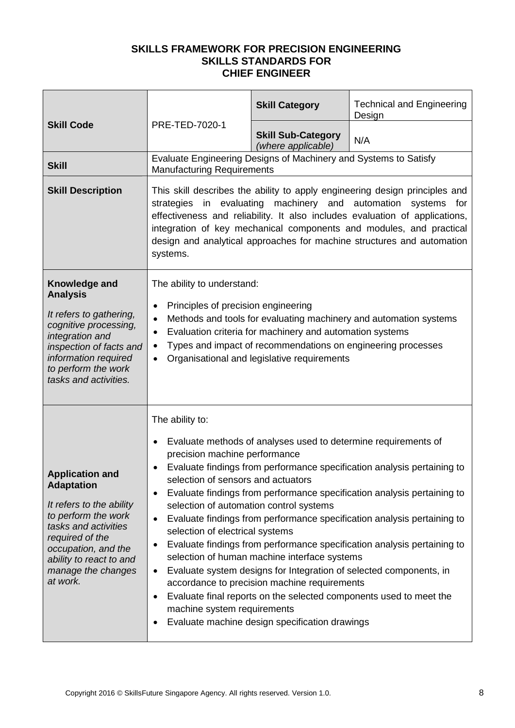|                                                                                                                                                                                                                               |                                                                                                                                                                                                                                                                                                                                                                                                                                                                                                                                                                                                                                                                                                                                                                                                                                                                                                                               | <b>Skill Category</b>                           | <b>Technical and Engineering</b><br>Design |
|-------------------------------------------------------------------------------------------------------------------------------------------------------------------------------------------------------------------------------|-------------------------------------------------------------------------------------------------------------------------------------------------------------------------------------------------------------------------------------------------------------------------------------------------------------------------------------------------------------------------------------------------------------------------------------------------------------------------------------------------------------------------------------------------------------------------------------------------------------------------------------------------------------------------------------------------------------------------------------------------------------------------------------------------------------------------------------------------------------------------------------------------------------------------------|-------------------------------------------------|--------------------------------------------|
| <b>Skill Code</b>                                                                                                                                                                                                             | PRE-TED-7020-1                                                                                                                                                                                                                                                                                                                                                                                                                                                                                                                                                                                                                                                                                                                                                                                                                                                                                                                | <b>Skill Sub-Category</b><br>(where applicable) | N/A                                        |
| <b>Skill</b>                                                                                                                                                                                                                  | Evaluate Engineering Designs of Machinery and Systems to Satisfy<br><b>Manufacturing Requirements</b>                                                                                                                                                                                                                                                                                                                                                                                                                                                                                                                                                                                                                                                                                                                                                                                                                         |                                                 |                                            |
| <b>Skill Description</b>                                                                                                                                                                                                      | This skill describes the ability to apply engineering design principles and<br>evaluating<br>machinery and automation<br>strategies<br>in<br>systems<br>for<br>effectiveness and reliability. It also includes evaluation of applications,<br>integration of key mechanical components and modules, and practical<br>design and analytical approaches for machine structures and automation<br>systems.                                                                                                                                                                                                                                                                                                                                                                                                                                                                                                                       |                                                 |                                            |
| Knowledge and<br><b>Analysis</b><br>It refers to gathering,<br>cognitive processing,<br>integration and<br>inspection of facts and<br>information required<br>to perform the work<br>tasks and activities.                    | The ability to understand:<br>Principles of precision engineering<br>$\bullet$<br>Methods and tools for evaluating machinery and automation systems<br>$\bullet$<br>Evaluation criteria for machinery and automation systems<br>$\bullet$<br>Types and impact of recommendations on engineering processes<br>$\bullet$<br>Organisational and legislative requirements<br>$\bullet$                                                                                                                                                                                                                                                                                                                                                                                                                                                                                                                                            |                                                 |                                            |
| <b>Application and</b><br><b>Adaptation</b><br>It refers to the ability<br>to perform the work<br>tasks and activities<br>required of the<br>occupation, and the<br>ability to react to and<br>manage the changes<br>at work. | The ability to:<br>Evaluate methods of analyses used to determine requirements of<br>٠<br>precision machine performance<br>Evaluate findings from performance specification analysis pertaining to<br>selection of sensors and actuators<br>Evaluate findings from performance specification analysis pertaining to<br>٠<br>selection of automation control systems<br>Evaluate findings from performance specification analysis pertaining to<br>$\bullet$<br>selection of electrical systems<br>Evaluate findings from performance specification analysis pertaining to<br>٠<br>selection of human machine interface systems<br>Evaluate system designs for Integration of selected components, in<br>$\bullet$<br>accordance to precision machine requirements<br>Evaluate final reports on the selected components used to meet the<br>٠<br>machine system requirements<br>Evaluate machine design specification drawings |                                                 |                                            |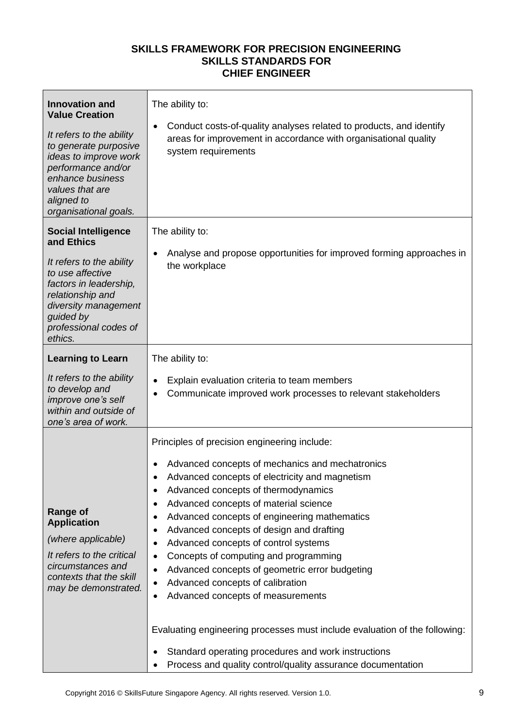| <b>Innovation and</b><br><b>Value Creation</b><br>It refers to the ability<br>to generate purposive<br>ideas to improve work<br>performance and/or<br>enhance business<br>values that are<br>aligned to<br>organisational goals. | The ability to:<br>Conduct costs-of-quality analyses related to products, and identify<br>$\bullet$<br>areas for improvement in accordance with organisational quality<br>system requirements                                                                                                                                                                                                                                                                                                                                                                                                                                                                                                                                                                                                                                         |
|----------------------------------------------------------------------------------------------------------------------------------------------------------------------------------------------------------------------------------|---------------------------------------------------------------------------------------------------------------------------------------------------------------------------------------------------------------------------------------------------------------------------------------------------------------------------------------------------------------------------------------------------------------------------------------------------------------------------------------------------------------------------------------------------------------------------------------------------------------------------------------------------------------------------------------------------------------------------------------------------------------------------------------------------------------------------------------|
| <b>Social Intelligence</b><br>and Ethics<br>It refers to the ability<br>to use affective<br>factors in leadership,<br>relationship and<br>diversity management<br>guided by<br>professional codes of<br>ethics.                  | The ability to:<br>Analyse and propose opportunities for improved forming approaches in<br>$\bullet$<br>the workplace                                                                                                                                                                                                                                                                                                                                                                                                                                                                                                                                                                                                                                                                                                                 |
| <b>Learning to Learn</b><br>It refers to the ability<br>to develop and<br>improve one's self<br>within and outside of<br>one's area of work.                                                                                     | The ability to:<br>Explain evaluation criteria to team members<br>Communicate improved work processes to relevant stakeholders<br>$\bullet$                                                                                                                                                                                                                                                                                                                                                                                                                                                                                                                                                                                                                                                                                           |
| <b>Range of</b><br><b>Application</b><br>(where applicable)<br>It refers to the critical<br>circumstances and<br>contexts that the skill<br>may be demonstrated.                                                                 | Principles of precision engineering include:<br>Advanced concepts of mechanics and mechatronics<br>Advanced concepts of electricity and magnetism<br>Advanced concepts of thermodynamics<br>٠<br>Advanced concepts of material science<br>٠<br>Advanced concepts of engineering mathematics<br>$\bullet$<br>Advanced concepts of design and drafting<br>$\bullet$<br>Advanced concepts of control systems<br>$\bullet$<br>Concepts of computing and programming<br>$\bullet$<br>Advanced concepts of geometric error budgeting<br>$\bullet$<br>Advanced concepts of calibration<br>$\bullet$<br>Advanced concepts of measurements<br>Evaluating engineering processes must include evaluation of the following:<br>Standard operating procedures and work instructions<br>Process and quality control/quality assurance documentation |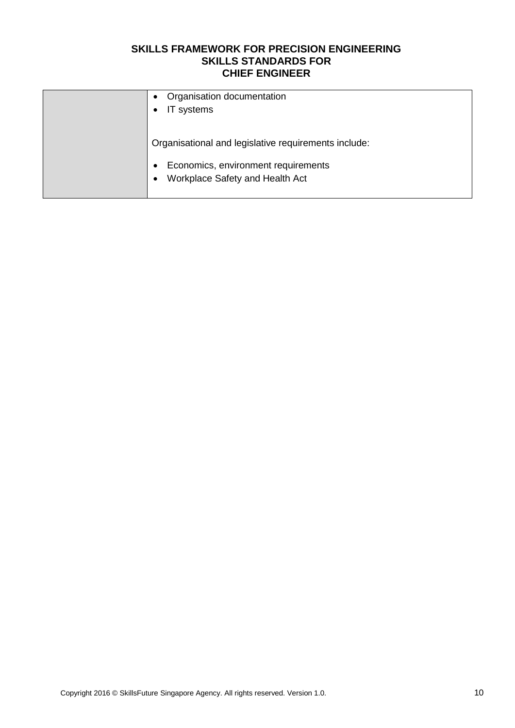| Organisation documentation<br>$\bullet$<br>IT systems<br>$\bullet$                               |
|--------------------------------------------------------------------------------------------------|
| Organisational and legislative requirements include:                                             |
| Economics, environment requirements<br>$\bullet$<br>Workplace Safety and Health Act<br>$\bullet$ |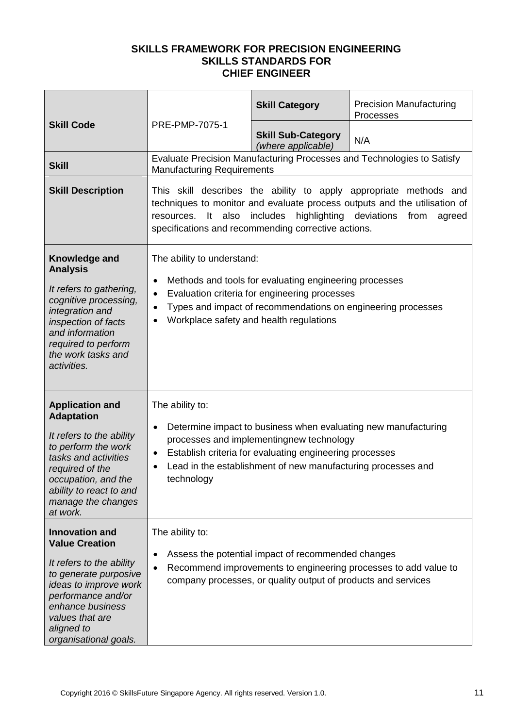| <b>Skill Code</b>                                                                                                                                                                                                                |                                                                                                                                                                                                                                                                                                       | <b>Skill Category</b>                                                                                                                                                                                                                 | <b>Precision Manufacturing</b><br>Processes                            |  |
|----------------------------------------------------------------------------------------------------------------------------------------------------------------------------------------------------------------------------------|-------------------------------------------------------------------------------------------------------------------------------------------------------------------------------------------------------------------------------------------------------------------------------------------------------|---------------------------------------------------------------------------------------------------------------------------------------------------------------------------------------------------------------------------------------|------------------------------------------------------------------------|--|
|                                                                                                                                                                                                                                  | PRE-PMP-7075-1                                                                                                                                                                                                                                                                                        | <b>Skill Sub-Category</b><br>(where applicable)                                                                                                                                                                                       | N/A                                                                    |  |
| <b>Skill</b>                                                                                                                                                                                                                     | <b>Manufacturing Requirements</b>                                                                                                                                                                                                                                                                     |                                                                                                                                                                                                                                       | Evaluate Precision Manufacturing Processes and Technologies to Satisfy |  |
| <b>Skill Description</b>                                                                                                                                                                                                         | This skill describes the ability to apply appropriate methods and<br>techniques to monitor and evaluate process outputs and the utilisation of<br>highlighting deviations<br>also<br>includes<br>resources.<br>$\mathsf{It}$<br>from<br>agreed<br>specifications and recommending corrective actions. |                                                                                                                                                                                                                                       |                                                                        |  |
| Knowledge and<br><b>Analysis</b><br>It refers to gathering,<br>cognitive processing,<br>integration and<br>inspection of facts<br>and information<br>required to perform<br>the work tasks and<br>activities.                    | The ability to understand:<br>٠<br>$\bullet$<br>$\bullet$                                                                                                                                                                                                                                             | Methods and tools for evaluating engineering processes<br>Evaluation criteria for engineering processes<br>Types and impact of recommendations on engineering processes<br>Workplace safety and health regulations                    |                                                                        |  |
| <b>Application and</b><br><b>Adaptation</b><br>It refers to the ability<br>to perform the work<br>tasks and activities<br>required of the<br>occupation, and the<br>ability to react to and<br>manage the changes<br>at work.    | The ability to:<br>$\bullet$<br>٠<br>technology                                                                                                                                                                                                                                                       | Determine impact to business when evaluating new manufacturing<br>processes and implementingnew technology<br>Establish criteria for evaluating engineering processes<br>Lead in the establishment of new manufacturing processes and |                                                                        |  |
| <b>Innovation and</b><br><b>Value Creation</b><br>It refers to the ability<br>to generate purposive<br>ideas to improve work<br>performance and/or<br>enhance business<br>values that are<br>aligned to<br>organisational goals. | The ability to:<br>٠                                                                                                                                                                                                                                                                                  | Assess the potential impact of recommended changes<br>company processes, or quality output of products and services                                                                                                                   | Recommend improvements to engineering processes to add value to        |  |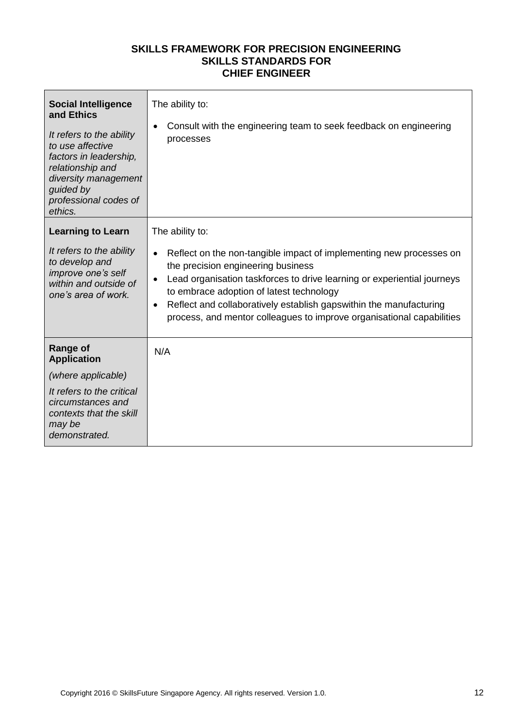| <b>Social Intelligence</b><br>and Ethics<br>It refers to the ability<br>to use affective<br>factors in leadership,<br>relationship and<br>diversity management<br>guided by<br>professional codes of<br>ethics. | The ability to:<br>Consult with the engineering team to seek feedback on engineering<br>$\bullet$<br>processes                                                                                                                                                                                                                                                                                                                             |
|-----------------------------------------------------------------------------------------------------------------------------------------------------------------------------------------------------------------|--------------------------------------------------------------------------------------------------------------------------------------------------------------------------------------------------------------------------------------------------------------------------------------------------------------------------------------------------------------------------------------------------------------------------------------------|
| <b>Learning to Learn</b><br>It refers to the ability<br>to develop and<br>improve one's self<br>within and outside of<br>one's area of work.                                                                    | The ability to:<br>Reflect on the non-tangible impact of implementing new processes on<br>$\bullet$<br>the precision engineering business<br>Lead organisation taskforces to drive learning or experiential journeys<br>$\bullet$<br>to embrace adoption of latest technology<br>Reflect and collaboratively establish gaps within the manufacturing<br>$\bullet$<br>process, and mentor colleagues to improve organisational capabilities |
| <b>Range of</b><br><b>Application</b>                                                                                                                                                                           | N/A                                                                                                                                                                                                                                                                                                                                                                                                                                        |
| (where applicable)                                                                                                                                                                                              |                                                                                                                                                                                                                                                                                                                                                                                                                                            |
| It refers to the critical<br>circumstances and<br>contexts that the skill<br>may be<br>demonstrated.                                                                                                            |                                                                                                                                                                                                                                                                                                                                                                                                                                            |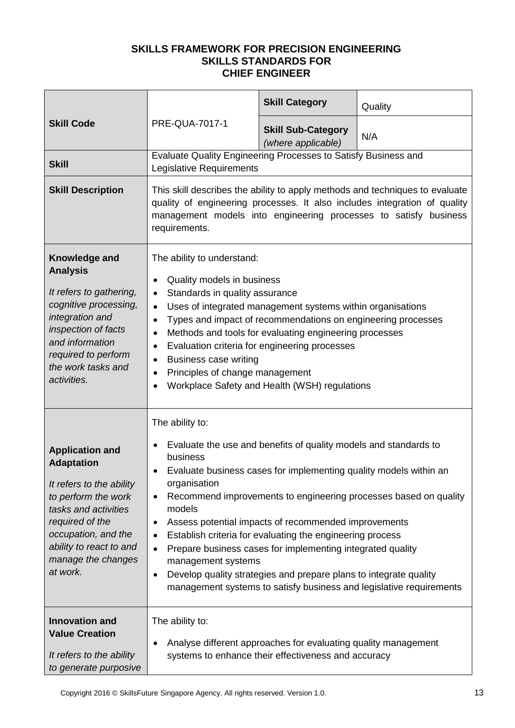|                                                                                                                                                                                                                               |                                                                                                                                                                                                                                                                                                                                                                                                                                                                                                                                                                                                                                                                                               | <b>Skill Category</b>                           | Quality |  |
|-------------------------------------------------------------------------------------------------------------------------------------------------------------------------------------------------------------------------------|-----------------------------------------------------------------------------------------------------------------------------------------------------------------------------------------------------------------------------------------------------------------------------------------------------------------------------------------------------------------------------------------------------------------------------------------------------------------------------------------------------------------------------------------------------------------------------------------------------------------------------------------------------------------------------------------------|-------------------------------------------------|---------|--|
| <b>Skill Code</b>                                                                                                                                                                                                             | <b>PRE-QUA-7017-1</b>                                                                                                                                                                                                                                                                                                                                                                                                                                                                                                                                                                                                                                                                         | <b>Skill Sub-Category</b><br>(where applicable) | N/A     |  |
| <b>Skill</b>                                                                                                                                                                                                                  | Evaluate Quality Engineering Processes to Satisfy Business and<br>Legislative Requirements                                                                                                                                                                                                                                                                                                                                                                                                                                                                                                                                                                                                    |                                                 |         |  |
| <b>Skill Description</b>                                                                                                                                                                                                      | This skill describes the ability to apply methods and techniques to evaluate<br>quality of engineering processes. It also includes integration of quality<br>management models into engineering processes to satisfy business<br>requirements.                                                                                                                                                                                                                                                                                                                                                                                                                                                |                                                 |         |  |
| Knowledge and<br><b>Analysis</b><br>It refers to gathering,<br>cognitive processing,<br>integration and<br>inspection of facts<br>and information<br>required to perform<br>the work tasks and<br>activities.                 | The ability to understand:<br>Quality models in business<br>$\bullet$<br>Standards in quality assurance<br>$\bullet$<br>Uses of integrated management systems within organisations<br>$\bullet$<br>Types and impact of recommendations on engineering processes<br>$\bullet$<br>Methods and tools for evaluating engineering processes<br>$\bullet$<br>Evaluation criteria for engineering processes<br>$\bullet$<br><b>Business case writing</b><br>$\bullet$<br>Principles of change management<br>$\bullet$<br>Workplace Safety and Health (WSH) regulations                                                                                                                               |                                                 |         |  |
| <b>Application and</b><br><b>Adaptation</b><br>It refers to the ability<br>to perform the work<br>tasks and activities<br>required of the<br>occupation, and the<br>ability to react to and<br>manage the changes<br>at work. | The ability to:<br>Evaluate the use and benefits of quality models and standards to<br>٠<br>business<br>Evaluate business cases for implementing quality models within an<br>organisation<br>Recommend improvements to engineering processes based on quality<br>$\bullet$<br>models<br>Assess potential impacts of recommended improvements<br>$\bullet$<br>Establish criteria for evaluating the engineering process<br>$\bullet$<br>Prepare business cases for implementing integrated quality<br>$\bullet$<br>management systems<br>Develop quality strategies and prepare plans to integrate quality<br>$\bullet$<br>management systems to satisfy business and legislative requirements |                                                 |         |  |
| <b>Innovation and</b><br><b>Value Creation</b><br>It refers to the ability<br>to generate purposive                                                                                                                           | The ability to:<br>Analyse different approaches for evaluating quality management<br>systems to enhance their effectiveness and accuracy                                                                                                                                                                                                                                                                                                                                                                                                                                                                                                                                                      |                                                 |         |  |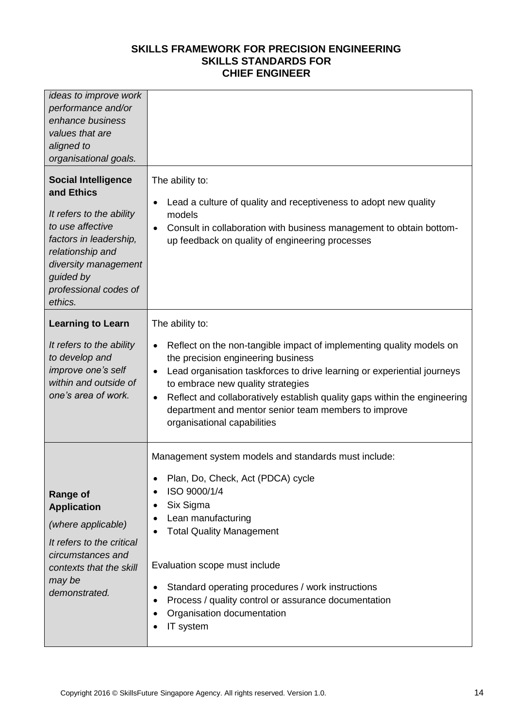| ideas to improve work<br>performance and/or<br>enhance business<br>values that are<br>aligned to<br>organisational goals.                                                                                       |                                                                                                                                                                                                                                                                                                                                                                                                                                             |
|-----------------------------------------------------------------------------------------------------------------------------------------------------------------------------------------------------------------|---------------------------------------------------------------------------------------------------------------------------------------------------------------------------------------------------------------------------------------------------------------------------------------------------------------------------------------------------------------------------------------------------------------------------------------------|
| <b>Social Intelligence</b><br>and Ethics<br>It refers to the ability<br>to use affective<br>factors in leadership,<br>relationship and<br>diversity management<br>guided by<br>professional codes of<br>ethics. | The ability to:<br>Lead a culture of quality and receptiveness to adopt new quality<br>models<br>Consult in collaboration with business management to obtain bottom-<br>up feedback on quality of engineering processes                                                                                                                                                                                                                     |
| <b>Learning to Learn</b><br>It refers to the ability<br>to develop and<br>improve one's self<br>within and outside of<br>one's area of work.                                                                    | The ability to:<br>Reflect on the non-tangible impact of implementing quality models on<br>$\bullet$<br>the precision engineering business<br>Lead organisation taskforces to drive learning or experiential journeys<br>to embrace new quality strategies<br>Reflect and collaboratively establish quality gaps within the engineering<br>$\bullet$<br>department and mentor senior team members to improve<br>organisational capabilities |
| <b>Range of</b><br><b>Application</b><br>(where applicable)<br>It refers to the critical<br>circumstances and<br>contexts that the skill<br>may be<br>demonstrated.                                             | Management system models and standards must include:<br>Plan, Do, Check, Act (PDCA) cycle<br>ISO 9000/1/4<br>Six Sigma<br>Lean manufacturing<br><b>Total Quality Management</b><br>Evaluation scope must include<br>Standard operating procedures / work instructions<br>Process / quality control or assurance documentation<br>Organisation documentation<br>IT system                                                                    |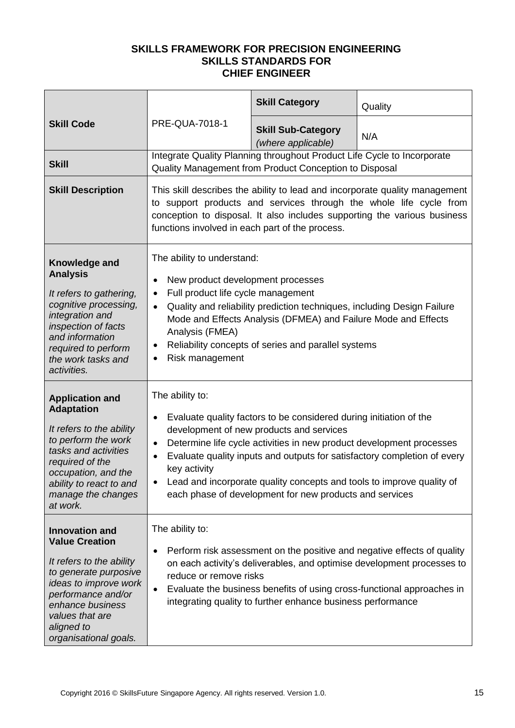|                                                                                                                                                                                                                                  |                                                                                                                                                                                                                                                                                                                                                                                                                                                                     | <b>Skill Category</b>                                                                                                             | Quality |
|----------------------------------------------------------------------------------------------------------------------------------------------------------------------------------------------------------------------------------|---------------------------------------------------------------------------------------------------------------------------------------------------------------------------------------------------------------------------------------------------------------------------------------------------------------------------------------------------------------------------------------------------------------------------------------------------------------------|-----------------------------------------------------------------------------------------------------------------------------------|---------|
| <b>Skill Code</b>                                                                                                                                                                                                                | <b>PRE-QUA-7018-1</b>                                                                                                                                                                                                                                                                                                                                                                                                                                               | <b>Skill Sub-Category</b><br>(where applicable)                                                                                   | N/A     |
| <b>Skill</b>                                                                                                                                                                                                                     |                                                                                                                                                                                                                                                                                                                                                                                                                                                                     | Integrate Quality Planning throughout Product Life Cycle to Incorporate<br>Quality Management from Product Conception to Disposal |         |
| <b>Skill Description</b>                                                                                                                                                                                                         | This skill describes the ability to lead and incorporate quality management<br>to support products and services through the whole life cycle from<br>conception to disposal. It also includes supporting the various business<br>functions involved in each part of the process.                                                                                                                                                                                    |                                                                                                                                   |         |
| Knowledge and<br><b>Analysis</b><br>It refers to gathering,<br>cognitive processing,<br>integration and<br>inspection of facts<br>and information<br>required to perform<br>the work tasks and<br>activities.                    | The ability to understand:<br>New product development processes<br>Full product life cycle management<br>$\bullet$<br>Quality and reliability prediction techniques, including Design Failure<br>$\bullet$<br>Mode and Effects Analysis (DFMEA) and Failure Mode and Effects<br>Analysis (FMEA)<br>Reliability concepts of series and parallel systems<br>Risk management                                                                                           |                                                                                                                                   |         |
| <b>Application and</b><br><b>Adaptation</b><br>It refers to the ability<br>to perform the work<br>tasks and activities<br>required of the<br>occupation, and the<br>ability to react to and<br>manage the changes<br>at work.    | The ability to:<br>Evaluate quality factors to be considered during initiation of the<br>$\bullet$<br>development of new products and services<br>Determine life cycle activities in new product development processes<br>$\bullet$<br>Evaluate quality inputs and outputs for satisfactory completion of every<br>key activity<br>Lead and incorporate quality concepts and tools to improve quality of<br>each phase of development for new products and services |                                                                                                                                   |         |
| <b>Innovation and</b><br><b>Value Creation</b><br>It refers to the ability<br>to generate purposive<br>ideas to improve work<br>performance and/or<br>enhance business<br>values that are<br>aligned to<br>organisational goals. | The ability to:<br>Perform risk assessment on the positive and negative effects of quality<br>$\bullet$<br>on each activity's deliverables, and optimise development processes to<br>reduce or remove risks<br>Evaluate the business benefits of using cross-functional approaches in<br>$\bullet$<br>integrating quality to further enhance business performance                                                                                                   |                                                                                                                                   |         |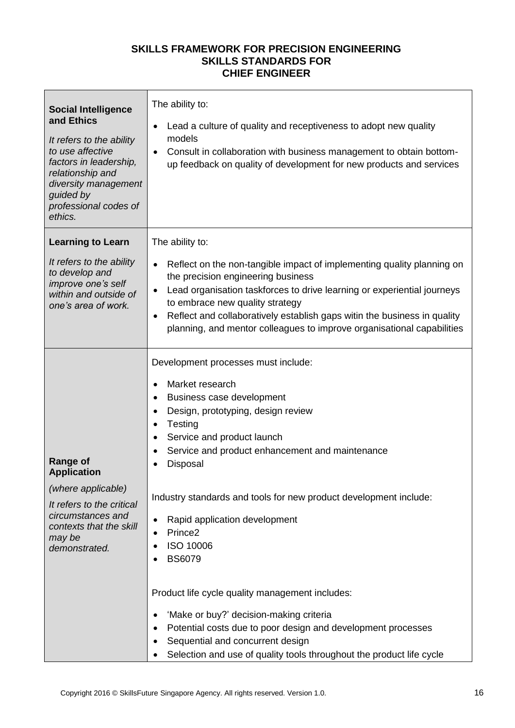| <b>Social Intelligence</b><br>and Ethics<br>It refers to the ability<br>to use affective<br>factors in leadership,<br>relationship and<br>diversity management<br>guided by<br>professional codes of<br>ethics. | The ability to:<br>Lead a culture of quality and receptiveness to adopt new quality<br>models<br>Consult in collaboration with business management to obtain bottom-<br>up feedback on quality of development for new products and services                                                                                                                                                                                                                                                                                                                                                                                                                                                   |
|-----------------------------------------------------------------------------------------------------------------------------------------------------------------------------------------------------------------|-----------------------------------------------------------------------------------------------------------------------------------------------------------------------------------------------------------------------------------------------------------------------------------------------------------------------------------------------------------------------------------------------------------------------------------------------------------------------------------------------------------------------------------------------------------------------------------------------------------------------------------------------------------------------------------------------|
| <b>Learning to Learn</b>                                                                                                                                                                                        | The ability to:                                                                                                                                                                                                                                                                                                                                                                                                                                                                                                                                                                                                                                                                               |
| It refers to the ability<br>to develop and<br>improve one's self<br>within and outside of<br>one's area of work.                                                                                                | Reflect on the non-tangible impact of implementing quality planning on<br>the precision engineering business<br>Lead organisation taskforces to drive learning or experiential journeys<br>to embrace new quality strategy<br>Reflect and collaboratively establish gaps witin the business in quality<br>planning, and mentor colleagues to improve organisational capabilities                                                                                                                                                                                                                                                                                                              |
| <b>Range of</b><br><b>Application</b><br>(where applicable)<br>It refers to the critical<br>circumstances and<br>contexts that the skill<br>may be<br>demonstrated.                                             | Development processes must include:<br>Market research<br>$\bullet$<br>Business case development<br>Design, prototyping, design review<br>٠<br>Testing<br>Service and product launch<br>٠<br>Service and product enhancement and maintenance<br>Disposal<br>Industry standards and tools for new product development include:<br>Rapid application development<br>Prince <sub>2</sub><br>ISO 10006<br><b>BS6079</b><br>Product life cycle quality management includes:<br>'Make or buy?' decision-making criteria<br>Potential costs due to poor design and development processes<br>Sequential and concurrent design<br>Selection and use of quality tools throughout the product life cycle |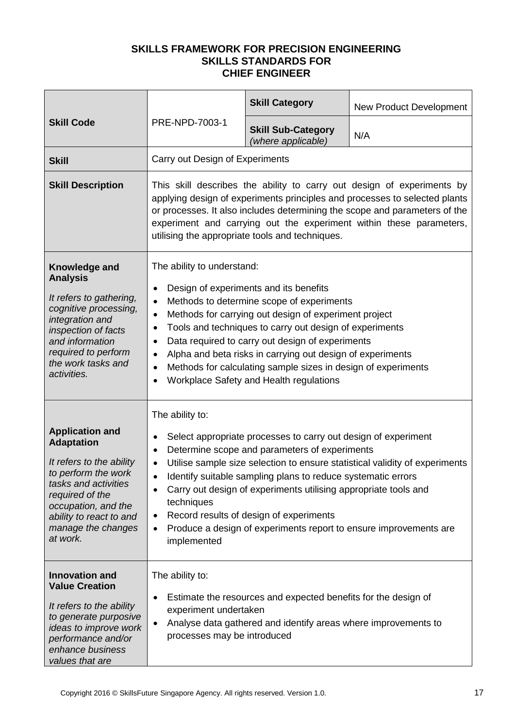| <b>Skill Code</b>                                                                                                                                                                                                             |                                                                                                                                                                                                                                                                                                                                                                                                                                                                                                                                           | <b>Skill Category</b>                           | <b>New Product Development</b> |
|-------------------------------------------------------------------------------------------------------------------------------------------------------------------------------------------------------------------------------|-------------------------------------------------------------------------------------------------------------------------------------------------------------------------------------------------------------------------------------------------------------------------------------------------------------------------------------------------------------------------------------------------------------------------------------------------------------------------------------------------------------------------------------------|-------------------------------------------------|--------------------------------|
|                                                                                                                                                                                                                               | PRE-NPD-7003-1                                                                                                                                                                                                                                                                                                                                                                                                                                                                                                                            | <b>Skill Sub-Category</b><br>(where applicable) | N/A                            |
| <b>Skill</b>                                                                                                                                                                                                                  | Carry out Design of Experiments                                                                                                                                                                                                                                                                                                                                                                                                                                                                                                           |                                                 |                                |
| <b>Skill Description</b>                                                                                                                                                                                                      | This skill describes the ability to carry out design of experiments by<br>applying design of experiments principles and processes to selected plants<br>or processes. It also includes determining the scope and parameters of the<br>experiment and carrying out the experiment within these parameters,<br>utilising the appropriate tools and techniques.                                                                                                                                                                              |                                                 |                                |
| Knowledge and<br><b>Analysis</b><br>It refers to gathering,<br>cognitive processing,<br>integration and<br>inspection of facts<br>and information<br>required to perform<br>the work tasks and<br>activities.                 | The ability to understand:<br>Design of experiments and its benefits<br>$\bullet$<br>Methods to determine scope of experiments<br>$\bullet$<br>Methods for carrying out design of experiment project<br>$\bullet$<br>Tools and techniques to carry out design of experiments<br>Data required to carry out design of experiments<br>٠<br>Alpha and beta risks in carrying out design of experiments<br>$\bullet$<br>Methods for calculating sample sizes in design of experiments<br>$\bullet$<br>Workplace Safety and Health regulations |                                                 |                                |
| <b>Application and</b><br><b>Adaptation</b><br>It refers to the ability<br>to perform the work<br>tasks and activities<br>required of the<br>occupation, and the<br>ability to react to and<br>manage the changes<br>at work. | The ability to:<br>Select appropriate processes to carry out design of experiment<br>٠<br>Determine scope and parameters of experiments<br>$\bullet$<br>Utilise sample size selection to ensure statistical validity of experiments<br>$\bullet$<br>Identify suitable sampling plans to reduce systematic errors<br>Carry out design of experiments utilising appropriate tools and<br>techniques<br>Record results of design of experiments<br>Produce a design of experiments report to ensure improvements are<br>implemented          |                                                 |                                |
| <b>Innovation and</b><br><b>Value Creation</b><br>It refers to the ability<br>to generate purposive<br>ideas to improve work<br>performance and/or<br>enhance business<br>values that are                                     | The ability to:<br>Estimate the resources and expected benefits for the design of<br>experiment undertaken<br>Analyse data gathered and identify areas where improvements to<br>processes may be introduced                                                                                                                                                                                                                                                                                                                               |                                                 |                                |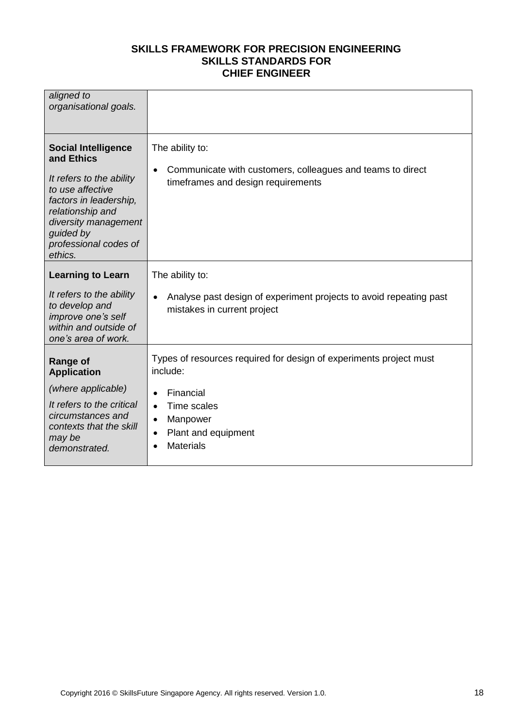| aligned to<br>organisational goals.                                                                                                                                                                             |                                                                                                                                                               |
|-----------------------------------------------------------------------------------------------------------------------------------------------------------------------------------------------------------------|---------------------------------------------------------------------------------------------------------------------------------------------------------------|
| <b>Social Intelligence</b><br>and Ethics<br>It refers to the ability<br>to use affective<br>factors in leadership,<br>relationship and<br>diversity management<br>quided by<br>professional codes of<br>ethics. | The ability to:<br>Communicate with customers, colleagues and teams to direct<br>$\bullet$<br>timeframes and design requirements                              |
| <b>Learning to Learn</b><br>It refers to the ability<br>to develop and<br>improve one's self<br>within and outside of                                                                                           | The ability to:<br>Analyse past design of experiment projects to avoid repeating past<br>mistakes in current project                                          |
| one's area of work.<br><b>Range of</b><br><b>Application</b><br>(where applicable)<br>It refers to the critical<br>circumstances and<br>contexts that the skill                                                 | Types of resources required for design of experiments project must<br>include:<br>Financial<br>$\bullet$<br>Time scales<br>$\bullet$<br>Manpower<br>$\bullet$ |
| may be<br>demonstrated.                                                                                                                                                                                         | Plant and equipment<br>$\bullet$<br><b>Materials</b>                                                                                                          |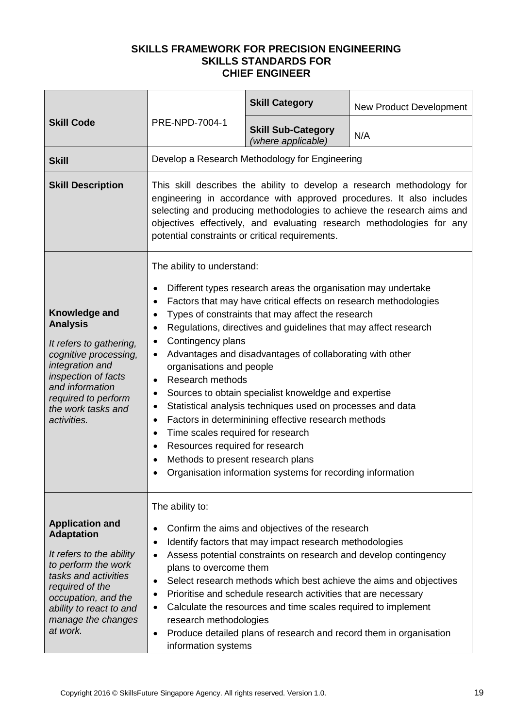| <b>Skill Code</b>                                                                                                                                                                                                             | PRE-NPD-7004-1                                                                                                                                                                                                                                                                                                                                                                                                                                                                                                                                                                                                                                                                                                                                                                                                                                                                                            | <b>Skill Category</b>                           | <b>New Product Development</b> |
|-------------------------------------------------------------------------------------------------------------------------------------------------------------------------------------------------------------------------------|-----------------------------------------------------------------------------------------------------------------------------------------------------------------------------------------------------------------------------------------------------------------------------------------------------------------------------------------------------------------------------------------------------------------------------------------------------------------------------------------------------------------------------------------------------------------------------------------------------------------------------------------------------------------------------------------------------------------------------------------------------------------------------------------------------------------------------------------------------------------------------------------------------------|-------------------------------------------------|--------------------------------|
|                                                                                                                                                                                                                               |                                                                                                                                                                                                                                                                                                                                                                                                                                                                                                                                                                                                                                                                                                                                                                                                                                                                                                           | <b>Skill Sub-Category</b><br>(where applicable) | N/A                            |
| <b>Skill</b>                                                                                                                                                                                                                  |                                                                                                                                                                                                                                                                                                                                                                                                                                                                                                                                                                                                                                                                                                                                                                                                                                                                                                           | Develop a Research Methodology for Engineering  |                                |
| <b>Skill Description</b>                                                                                                                                                                                                      | This skill describes the ability to develop a research methodology for<br>engineering in accordance with approved procedures. It also includes<br>selecting and producing methodologies to achieve the research aims and<br>objectives effectively, and evaluating research methodologies for any<br>potential constraints or critical requirements.                                                                                                                                                                                                                                                                                                                                                                                                                                                                                                                                                      |                                                 |                                |
| Knowledge and<br><b>Analysis</b><br>It refers to gathering,<br>cognitive processing,<br>integration and<br>inspection of facts<br>and information<br>required to perform<br>the work tasks and<br>activities.                 | The ability to understand:<br>Different types research areas the organisation may undertake<br>٠<br>Factors that may have critical effects on research methodologies<br>Types of constraints that may affect the research<br>$\bullet$<br>Regulations, directives and guidelines that may affect research<br>$\bullet$<br>Contingency plans<br>$\bullet$<br>Advantages and disadvantages of collaborating with other<br>organisations and people<br><b>Research methods</b><br>$\bullet$<br>Sources to obtain specialist knoweldge and expertise<br>٠<br>Statistical analysis techniques used on processes and data<br>Factors in determinining effective research methods<br>$\bullet$<br>Time scales required for research<br>$\bullet$<br>Resources required for research<br>$\bullet$<br>Methods to present research plans<br>$\bullet$<br>Organisation information systems for recording information |                                                 |                                |
| <b>Application and</b><br><b>Adaptation</b><br>It refers to the ability<br>to perform the work<br>tasks and activities<br>required of the<br>occupation, and the<br>ability to react to and<br>manage the changes<br>at work. | The ability to:<br>Confirm the aims and objectives of the research<br>$\bullet$<br>Identify factors that may impact research methodologies<br>$\bullet$<br>Assess potential constraints on research and develop contingency<br>$\bullet$<br>plans to overcome them<br>Select research methods which best achieve the aims and objectives<br>$\bullet$<br>Prioritise and schedule research activities that are necessary<br>Calculate the resources and time scales required to implement<br>$\bullet$<br>research methodologies<br>Produce detailed plans of research and record them in organisation<br>٠<br>information systems                                                                                                                                                                                                                                                                         |                                                 |                                |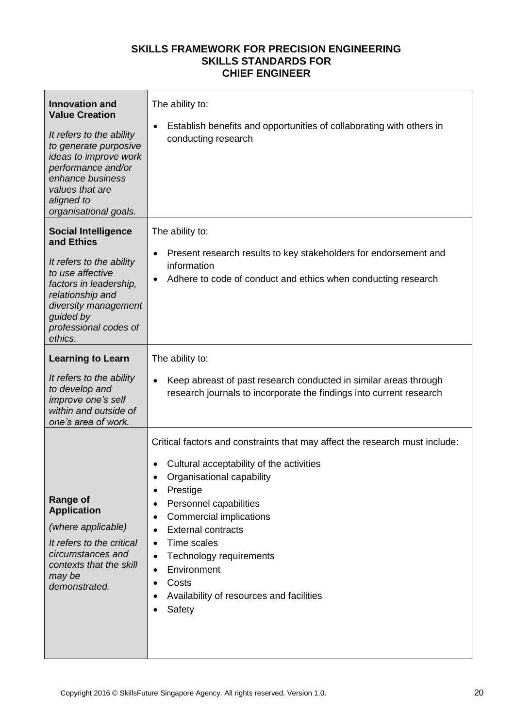| <b>Innovation and</b><br><b>Value Creation</b><br>It refers to the ability<br>to generate purposive<br>ideas to improve work<br>performance and/or<br>enhance business<br>values that are<br>aligned to<br>organisational goals. | The ability to:<br>Establish benefits and opportunities of collaborating with others in<br>conducting research                                                                                                                                                                                                                                                                                                                                                       |
|----------------------------------------------------------------------------------------------------------------------------------------------------------------------------------------------------------------------------------|----------------------------------------------------------------------------------------------------------------------------------------------------------------------------------------------------------------------------------------------------------------------------------------------------------------------------------------------------------------------------------------------------------------------------------------------------------------------|
| <b>Social Intelligence</b><br>and Ethics<br>It refers to the ability<br>to use affective<br>factors in leadership,<br>relationship and<br>diversity management<br>guided by<br>professional codes of<br>ethics.                  | The ability to:<br>Present research results to key stakeholders for endorsement and<br>information<br>Adhere to code of conduct and ethics when conducting research                                                                                                                                                                                                                                                                                                  |
| <b>Learning to Learn</b><br>It refers to the ability                                                                                                                                                                             | The ability to:                                                                                                                                                                                                                                                                                                                                                                                                                                                      |
| to develop and<br>improve one's self<br>within and outside of<br>one's area of work.                                                                                                                                             | Keep abreast of past research conducted in similar areas through<br>research journals to incorporate the findings into current research                                                                                                                                                                                                                                                                                                                              |
| <b>Range of</b><br><b>Application</b><br>(where applicable)<br>It refers to the critical<br>circumstances and<br>contexts that the skill<br>may be<br>demonstrated.                                                              | Critical factors and constraints that may affect the research must include:<br>Cultural acceptability of the activities<br>Organisational capability<br>Prestige<br>Personnel capabilities<br>$\bullet$<br>Commercial implications<br><b>External contracts</b><br>$\bullet$<br><b>Time scales</b><br>$\bullet$<br>Technology requirements<br>$\bullet$<br>Environment<br>$\bullet$<br>Costs<br>$\bullet$<br>Availability of resources and facilities<br>٠<br>Safety |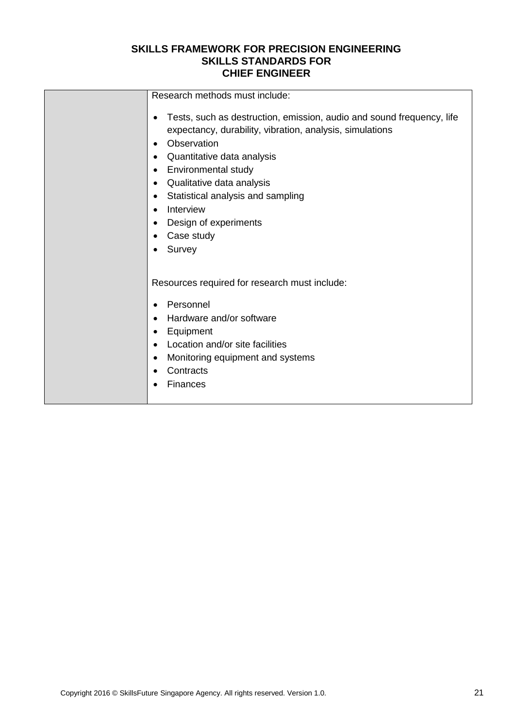| Research methods must include:                                                                                                                                                                                                                                                                                                                                                                                |
|---------------------------------------------------------------------------------------------------------------------------------------------------------------------------------------------------------------------------------------------------------------------------------------------------------------------------------------------------------------------------------------------------------------|
| Tests, such as destruction, emission, audio and sound frequency, life<br>$\bullet$<br>expectancy, durability, vibration, analysis, simulations<br>Observation<br>$\bullet$<br>Quantitative data analysis<br>٠<br>Environmental study<br>$\bullet$<br>Qualitative data analysis<br>$\bullet$<br>Statistical analysis and sampling<br>$\bullet$<br>Interview<br>$\bullet$<br>Design of experiments<br>$\bullet$ |
|                                                                                                                                                                                                                                                                                                                                                                                                               |
| Case study<br>$\bullet$                                                                                                                                                                                                                                                                                                                                                                                       |
| Survey<br>$\bullet$                                                                                                                                                                                                                                                                                                                                                                                           |
| Resources required for research must include:                                                                                                                                                                                                                                                                                                                                                                 |
| Personnel<br>$\bullet$                                                                                                                                                                                                                                                                                                                                                                                        |
| Hardware and/or software<br>$\bullet$                                                                                                                                                                                                                                                                                                                                                                         |
| Equipment<br>٠                                                                                                                                                                                                                                                                                                                                                                                                |
| Location and/or site facilities<br>$\bullet$                                                                                                                                                                                                                                                                                                                                                                  |
|                                                                                                                                                                                                                                                                                                                                                                                                               |
| Monitoring equipment and systems<br>$\bullet$                                                                                                                                                                                                                                                                                                                                                                 |
| Contracts                                                                                                                                                                                                                                                                                                                                                                                                     |
| Finances                                                                                                                                                                                                                                                                                                                                                                                                      |
|                                                                                                                                                                                                                                                                                                                                                                                                               |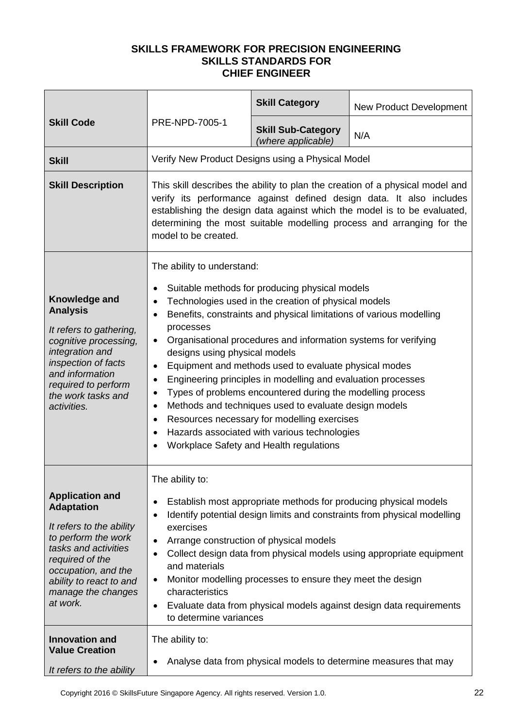|                                                                                                                                                                                                                                                        | PRE-NPD-7005-1                                                                                                                                                                                                                                                                                                                                                                                                                                                                                                                                                                                                                                                                                                                                                                                                                        | <b>Skill Category</b>                                                                                 | <b>New Product Development</b>                                                                                                                                                                                                                                                              |  |
|--------------------------------------------------------------------------------------------------------------------------------------------------------------------------------------------------------------------------------------------------------|---------------------------------------------------------------------------------------------------------------------------------------------------------------------------------------------------------------------------------------------------------------------------------------------------------------------------------------------------------------------------------------------------------------------------------------------------------------------------------------------------------------------------------------------------------------------------------------------------------------------------------------------------------------------------------------------------------------------------------------------------------------------------------------------------------------------------------------|-------------------------------------------------------------------------------------------------------|---------------------------------------------------------------------------------------------------------------------------------------------------------------------------------------------------------------------------------------------------------------------------------------------|--|
| <b>Skill Code</b>                                                                                                                                                                                                                                      |                                                                                                                                                                                                                                                                                                                                                                                                                                                                                                                                                                                                                                                                                                                                                                                                                                       | <b>Skill Sub-Category</b><br>(where applicable)                                                       | N/A                                                                                                                                                                                                                                                                                         |  |
| <b>Skill</b>                                                                                                                                                                                                                                           | Verify New Product Designs using a Physical Model                                                                                                                                                                                                                                                                                                                                                                                                                                                                                                                                                                                                                                                                                                                                                                                     |                                                                                                       |                                                                                                                                                                                                                                                                                             |  |
| <b>Skill Description</b>                                                                                                                                                                                                                               | This skill describes the ability to plan the creation of a physical model and<br>verify its performance against defined design data. It also includes<br>establishing the design data against which the model is to be evaluated,<br>determining the most suitable modelling process and arranging for the<br>model to be created.                                                                                                                                                                                                                                                                                                                                                                                                                                                                                                    |                                                                                                       |                                                                                                                                                                                                                                                                                             |  |
| Knowledge and<br><b>Analysis</b><br>It refers to gathering,<br>cognitive processing,<br>integration and<br>inspection of facts<br>and information<br>required to perform<br>the work tasks and<br>activities.                                          | The ability to understand:<br>Suitable methods for producing physical models<br>$\bullet$<br>Technologies used in the creation of physical models<br>٠<br>Benefits, constraints and physical limitations of various modelling<br>$\bullet$<br>processes<br>Organisational procedures and information systems for verifying<br>$\bullet$<br>designs using physical models<br>Equipment and methods used to evaluate physical modes<br>٠<br>Engineering principles in modelling and evaluation processes<br>$\bullet$<br>Types of problems encountered during the modelling process<br>$\bullet$<br>Methods and techniques used to evaluate design models<br>$\bullet$<br>Resources necessary for modelling exercises<br>٠<br>Hazards associated with various technologies<br>$\bullet$<br>Workplace Safety and Health regulations<br>٠ |                                                                                                       |                                                                                                                                                                                                                                                                                             |  |
| <b>Application and</b><br><b>Adaptation</b><br>It refers to the ability<br>to perform the work<br>tasks and activities<br>required of the<br>occupation, and the<br>ability to react to and<br>manage the changes<br>at work.<br><b>Innovation and</b> | The ability to:<br>٠<br>$\bullet$<br>exercises<br>$\bullet$<br>$\bullet$<br>and materials<br>٠<br>characteristics<br>٠<br>to determine variances<br>The ability to:                                                                                                                                                                                                                                                                                                                                                                                                                                                                                                                                                                                                                                                                   | Arrange construction of physical models<br>Monitor modelling processes to ensure they meet the design | Establish most appropriate methods for producing physical models<br>Identify potential design limits and constraints from physical modelling<br>Collect design data from physical models using appropriate equipment<br>Evaluate data from physical models against design data requirements |  |
| <b>Value Creation</b><br>It refers to the ability                                                                                                                                                                                                      | Analyse data from physical models to determine measures that may<br>$\bullet$                                                                                                                                                                                                                                                                                                                                                                                                                                                                                                                                                                                                                                                                                                                                                         |                                                                                                       |                                                                                                                                                                                                                                                                                             |  |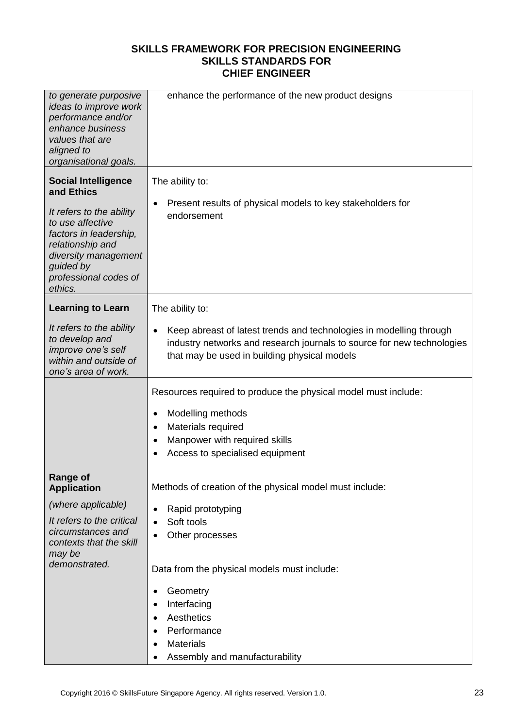| to generate purposive<br>ideas to improve work<br>performance and/or<br>enhance business<br>values that are<br>aligned to<br>organisational goals.                                                              | enhance the performance of the new product designs                                                                                                                                                             |
|-----------------------------------------------------------------------------------------------------------------------------------------------------------------------------------------------------------------|----------------------------------------------------------------------------------------------------------------------------------------------------------------------------------------------------------------|
| <b>Social Intelligence</b><br>and Ethics<br>It refers to the ability<br>to use affective<br>factors in leadership,<br>relationship and<br>diversity management<br>guided by<br>professional codes of<br>ethics. | The ability to:<br>Present results of physical models to key stakeholders for<br>٠<br>endorsement                                                                                                              |
| <b>Learning to Learn</b>                                                                                                                                                                                        | The ability to:                                                                                                                                                                                                |
| It refers to the ability<br>to develop and<br>improve one's self<br>within and outside of<br>one's area of work.                                                                                                | Keep abreast of latest trends and technologies in modelling through<br>industry networks and research journals to source for new technologies<br>that may be used in building physical models                  |
|                                                                                                                                                                                                                 | Resources required to produce the physical model must include:<br>Modelling methods<br>٠<br>Materials required<br>$\bullet$<br>Manpower with required skills<br>Access to specialised equipment                |
| Range of<br><b>Application</b><br>(where applicable)<br>It refers to the critical<br>circumstances and<br>contexts that the skill<br>may be<br>demonstrated.                                                    | Methods of creation of the physical model must include:<br>Rapid prototyping<br>٠<br>Soft tools<br>$\bullet$<br>Other processes<br>Data from the physical models must include:<br>Geometry<br>Interfacing<br>٠ |
|                                                                                                                                                                                                                 | Aesthetics<br>Performance<br>٠<br><b>Materials</b><br>Assembly and manufacturability                                                                                                                           |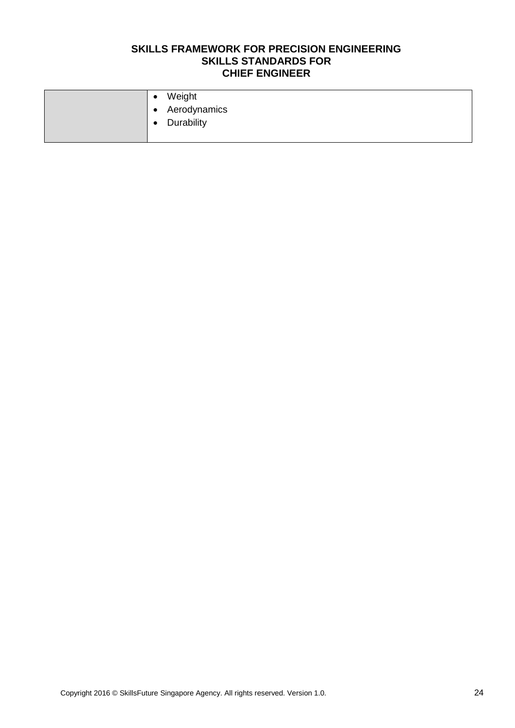| $\bullet$ | Weight         |
|-----------|----------------|
|           | • Aerodynamics |
| $\bullet$ | Durability     |
|           |                |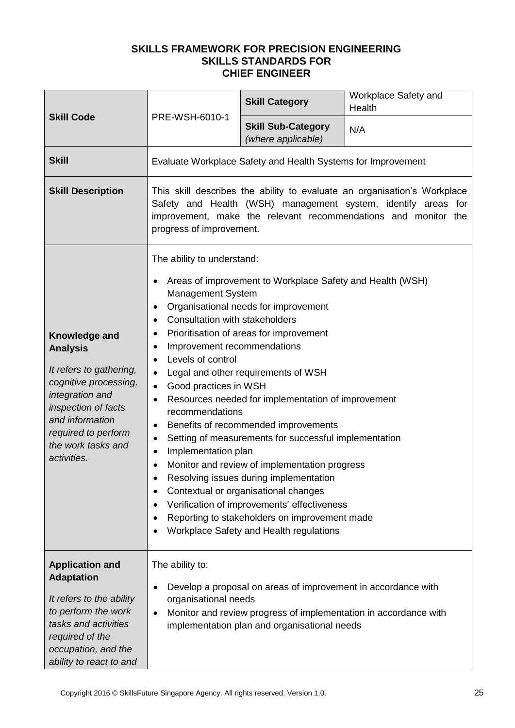| <b>Skill Code</b>                                                                                                                                                                                             | PRE-WSH-6010-1                                                                                                                                                                                                                                                                                                                                                                                                                                                                                                                                                                                                                                                                                                                                                                                                                                                                                                                                                  | <b>Skill Category</b>                                                                                         | Workplace Safety and<br>Health                                   |
|---------------------------------------------------------------------------------------------------------------------------------------------------------------------------------------------------------------|-----------------------------------------------------------------------------------------------------------------------------------------------------------------------------------------------------------------------------------------------------------------------------------------------------------------------------------------------------------------------------------------------------------------------------------------------------------------------------------------------------------------------------------------------------------------------------------------------------------------------------------------------------------------------------------------------------------------------------------------------------------------------------------------------------------------------------------------------------------------------------------------------------------------------------------------------------------------|---------------------------------------------------------------------------------------------------------------|------------------------------------------------------------------|
|                                                                                                                                                                                                               |                                                                                                                                                                                                                                                                                                                                                                                                                                                                                                                                                                                                                                                                                                                                                                                                                                                                                                                                                                 | <b>Skill Sub-Category</b><br>(where applicable)                                                               | N/A                                                              |
| <b>Skill</b>                                                                                                                                                                                                  |                                                                                                                                                                                                                                                                                                                                                                                                                                                                                                                                                                                                                                                                                                                                                                                                                                                                                                                                                                 | Evaluate Workplace Safety and Health Systems for Improvement                                                  |                                                                  |
| <b>Skill Description</b>                                                                                                                                                                                      | This skill describes the ability to evaluate an organisation's Workplace<br>Safety and Health (WSH) management system, identify areas for<br>improvement, make the relevant recommendations and monitor the<br>progress of improvement.                                                                                                                                                                                                                                                                                                                                                                                                                                                                                                                                                                                                                                                                                                                         |                                                                                                               |                                                                  |
| Knowledge and<br><b>Analysis</b><br>It refers to gathering,<br>cognitive processing,<br>integration and<br>inspection of facts<br>and information<br>required to perform<br>the work tasks and<br>activities. | The ability to understand:<br>Areas of improvement to Workplace Safety and Health (WSH)<br>Management System<br>Organisational needs for improvement<br>٠<br><b>Consultation with stakeholders</b><br>٠<br>Prioritisation of areas for improvement<br>Improvement recommendations<br>$\bullet$<br>Levels of control<br>$\bullet$<br>Legal and other requirements of WSH<br>$\bullet$<br>Good practices in WSH<br>$\bullet$<br>Resources needed for implementation of improvement<br>recommendations<br>Benefits of recommended improvements<br>Setting of measurements for successful implementation<br>٠<br>Implementation plan<br>$\bullet$<br>Monitor and review of implementation progress<br>$\bullet$<br>Resolving issues during implementation<br>Contextual or organisational changes<br>٠<br>Verification of improvements' effectiveness<br>Reporting to stakeholders on improvement made<br>$\bullet$<br>Workplace Safety and Health regulations<br>٠ |                                                                                                               |                                                                  |
| <b>Application and</b><br><b>Adaptation</b><br>It refers to the ability<br>to perform the work<br>tasks and activities<br>required of the<br>occupation, and the<br>ability to react to and                   | The ability to:<br>organisational needs<br>$\bullet$                                                                                                                                                                                                                                                                                                                                                                                                                                                                                                                                                                                                                                                                                                                                                                                                                                                                                                            | Develop a proposal on areas of improvement in accordance with<br>implementation plan and organisational needs | Monitor and review progress of implementation in accordance with |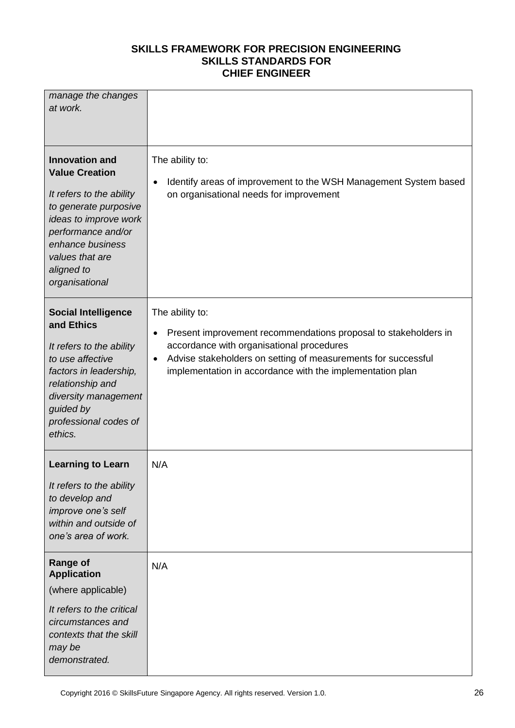| manage the changes<br>at work.                                                                                                                                                                                            |                                                                                                                                                                                                                                                                                         |
|---------------------------------------------------------------------------------------------------------------------------------------------------------------------------------------------------------------------------|-----------------------------------------------------------------------------------------------------------------------------------------------------------------------------------------------------------------------------------------------------------------------------------------|
| <b>Innovation and</b><br><b>Value Creation</b><br>It refers to the ability<br>to generate purposive<br>ideas to improve work<br>performance and/or<br>enhance business<br>values that are<br>aligned to<br>organisational | The ability to:<br>Identify areas of improvement to the WSH Management System based<br>٠<br>on organisational needs for improvement                                                                                                                                                     |
| <b>Social Intelligence</b><br>and Ethics<br>It refers to the ability<br>to use affective<br>factors in leadership,<br>relationship and<br>diversity management<br>guided by<br>professional codes of<br>ethics.           | The ability to:<br>Present improvement recommendations proposal to stakeholders in<br>$\bullet$<br>accordance with organisational procedures<br>Advise stakeholders on setting of measurements for successful<br>$\bullet$<br>implementation in accordance with the implementation plan |
| <b>Learning to Learn</b><br>It refers to the ability<br>to develop and<br>improve one's self<br>within and outside of<br>one's area of work.                                                                              | N/A                                                                                                                                                                                                                                                                                     |
| <b>Range of</b><br><b>Application</b><br>(where applicable)<br>It refers to the critical<br>circumstances and<br>contexts that the skill<br>may be<br>demonstrated.                                                       | N/A                                                                                                                                                                                                                                                                                     |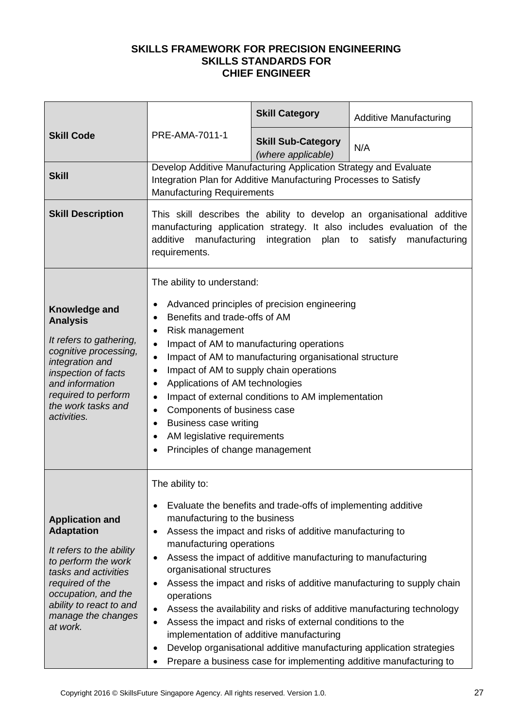|                                                                                                                                                                                                                               |                                                                                                                                                                                                                                                                                                                                                                                                                                                                                                                                                                                                                                                          | <b>Skill Category</b>                                                                                                                                                                                                                                                                              | <b>Additive Manufacturing</b>                                                                                                                                                                                                                                                                 |
|-------------------------------------------------------------------------------------------------------------------------------------------------------------------------------------------------------------------------------|----------------------------------------------------------------------------------------------------------------------------------------------------------------------------------------------------------------------------------------------------------------------------------------------------------------------------------------------------------------------------------------------------------------------------------------------------------------------------------------------------------------------------------------------------------------------------------------------------------------------------------------------------------|----------------------------------------------------------------------------------------------------------------------------------------------------------------------------------------------------------------------------------------------------------------------------------------------------|-----------------------------------------------------------------------------------------------------------------------------------------------------------------------------------------------------------------------------------------------------------------------------------------------|
| <b>Skill Code</b>                                                                                                                                                                                                             | PRE-AMA-7011-1                                                                                                                                                                                                                                                                                                                                                                                                                                                                                                                                                                                                                                           | <b>Skill Sub-Category</b><br>(where applicable)                                                                                                                                                                                                                                                    | N/A                                                                                                                                                                                                                                                                                           |
| <b>Skill</b>                                                                                                                                                                                                                  | Develop Additive Manufacturing Application Strategy and Evaluate<br>Integration Plan for Additive Manufacturing Processes to Satisfy<br><b>Manufacturing Requirements</b>                                                                                                                                                                                                                                                                                                                                                                                                                                                                                |                                                                                                                                                                                                                                                                                                    |                                                                                                                                                                                                                                                                                               |
| <b>Skill Description</b>                                                                                                                                                                                                      | This skill describes the ability to develop an organisational additive<br>manufacturing application strategy. It also includes evaluation of the<br>manufacturing<br>integration plan to<br>satisfy manufacturing<br>additive<br>requirements.                                                                                                                                                                                                                                                                                                                                                                                                           |                                                                                                                                                                                                                                                                                                    |                                                                                                                                                                                                                                                                                               |
| <b>Knowledge and</b><br><b>Analysis</b><br>It refers to gathering,<br>cognitive processing,<br>integration and<br>inspection of facts<br>and information<br>required to perform<br>the work tasks and<br>activities.          | The ability to understand:<br>Advanced principles of precision engineering<br>$\bullet$<br>Benefits and trade-offs of AM<br>$\bullet$<br>Risk management<br>$\bullet$<br>Impact of AM to manufacturing operations<br>$\bullet$<br>Impact of AM to manufacturing organisational structure<br>$\bullet$<br>Impact of AM to supply chain operations<br>$\bullet$<br>Applications of AM technologies<br>$\bullet$<br>Impact of external conditions to AM implementation<br>$\bullet$<br>Components of business case<br>$\bullet$<br><b>Business case writing</b><br>$\bullet$<br>AM legislative requirements<br>$\bullet$<br>Principles of change management |                                                                                                                                                                                                                                                                                                    |                                                                                                                                                                                                                                                                                               |
| <b>Application and</b><br><b>Adaptation</b><br>It refers to the ability<br>to perform the work<br>tasks and activities<br>required of the<br>occupation, and the<br>ability to react to and<br>manage the changes<br>at work. | The ability to:<br>٠<br>manufacturing to the business<br>٠<br>manufacturing operations<br>٠<br>organisational structures<br>operations<br>$\bullet$<br>$\bullet$<br>$\bullet$                                                                                                                                                                                                                                                                                                                                                                                                                                                                            | Evaluate the benefits and trade-offs of implementing additive<br>Assess the impact and risks of additive manufacturing to<br>Assess the impact of additive manufacturing to manufacturing<br>Assess the impact and risks of external conditions to the<br>implementation of additive manufacturing | Assess the impact and risks of additive manufacturing to supply chain<br>Assess the availability and risks of additive manufacturing technology<br>Develop organisational additive manufacturing application strategies<br>Prepare a business case for implementing additive manufacturing to |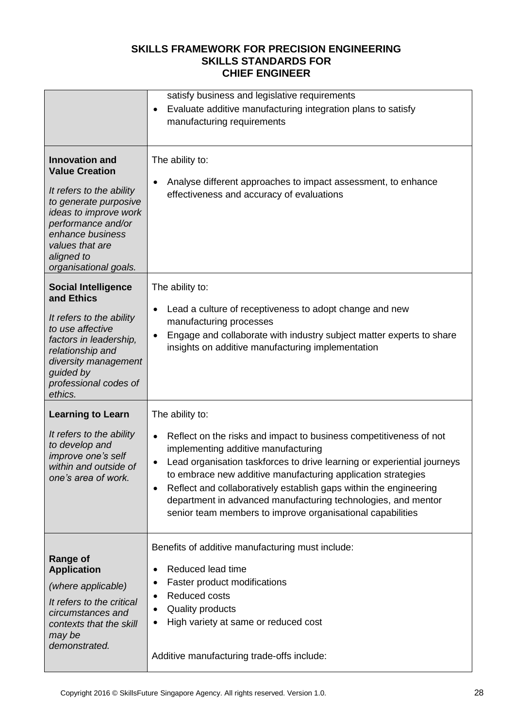|                                                                                                                                                                                                                                  | satisfy business and legislative requirements<br>Evaluate additive manufacturing integration plans to satisfy<br>٠<br>manufacturing requirements                                                                                                                                                                                                                                                                                                                                                   |
|----------------------------------------------------------------------------------------------------------------------------------------------------------------------------------------------------------------------------------|----------------------------------------------------------------------------------------------------------------------------------------------------------------------------------------------------------------------------------------------------------------------------------------------------------------------------------------------------------------------------------------------------------------------------------------------------------------------------------------------------|
| <b>Innovation and</b><br><b>Value Creation</b><br>It refers to the ability<br>to generate purposive<br>ideas to improve work<br>performance and/or<br>enhance business<br>values that are<br>aligned to<br>organisational goals. | The ability to:<br>Analyse different approaches to impact assessment, to enhance<br>$\bullet$<br>effectiveness and accuracy of evaluations                                                                                                                                                                                                                                                                                                                                                         |
| <b>Social Intelligence</b><br>and Ethics<br>It refers to the ability<br>to use affective<br>factors in leadership,<br>relationship and<br>diversity management<br>guided by<br>professional codes of<br>ethics.                  | The ability to:<br>Lead a culture of receptiveness to adopt change and new<br>٠<br>manufacturing processes<br>Engage and collaborate with industry subject matter experts to share<br>٠<br>insights on additive manufacturing implementation                                                                                                                                                                                                                                                       |
| <b>Learning to Learn</b><br>It refers to the ability<br>to develop and<br>improve one's self<br>within and outside of<br>one's area of work.                                                                                     | The ability to:<br>Reflect on the risks and impact to business competitiveness of not<br>$\bullet$<br>implementing additive manufacturing<br>Lead organisation taskforces to drive learning or experiential journeys<br>٠<br>to embrace new additive manufacturing application strategies<br>Reflect and collaboratively establish gaps within the engineering<br>٠<br>department in advanced manufacturing technologies, and mentor<br>senior team members to improve organisational capabilities |
| <b>Range of</b><br><b>Application</b><br>(where applicable)<br>It refers to the critical<br>circumstances and<br>contexts that the skill<br>may be<br>demonstrated.                                                              | Benefits of additive manufacturing must include:<br>Reduced lead time<br>$\bullet$<br>Faster product modifications<br>٠<br>Reduced costs<br>$\bullet$<br>Quality products<br>$\bullet$<br>High variety at same or reduced cost<br>٠<br>Additive manufacturing trade-offs include:                                                                                                                                                                                                                  |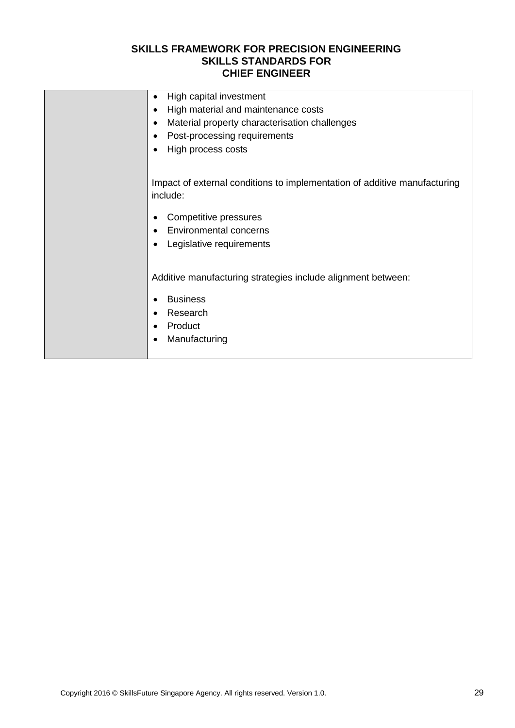| High capital investment<br>٠                                                          |
|---------------------------------------------------------------------------------------|
| High material and maintenance costs                                                   |
| Material property characterisation challenges<br>٠                                    |
| Post-processing requirements                                                          |
| High process costs                                                                    |
|                                                                                       |
| Impact of external conditions to implementation of additive manufacturing<br>include: |
| Competitive pressures                                                                 |
| <b>Environmental concerns</b>                                                         |
| Legislative requirements                                                              |
|                                                                                       |
| Additive manufacturing strategies include alignment between:                          |
| <b>Business</b>                                                                       |
| Research                                                                              |
| Product                                                                               |
| Manufacturing                                                                         |
|                                                                                       |
|                                                                                       |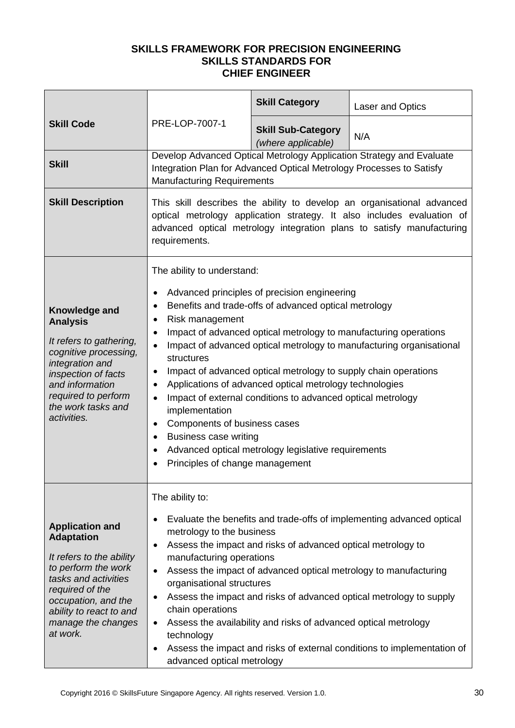|                                                                                                                                                                                                                               |                                                                                                                                                                                                                                                                                                                                                                                                                                                                                                                                                                                                                                                                                                                                                                                                               | <b>Skill Category</b>                           | Laser and Optics                                                     |
|-------------------------------------------------------------------------------------------------------------------------------------------------------------------------------------------------------------------------------|---------------------------------------------------------------------------------------------------------------------------------------------------------------------------------------------------------------------------------------------------------------------------------------------------------------------------------------------------------------------------------------------------------------------------------------------------------------------------------------------------------------------------------------------------------------------------------------------------------------------------------------------------------------------------------------------------------------------------------------------------------------------------------------------------------------|-------------------------------------------------|----------------------------------------------------------------------|
| <b>Skill Code</b>                                                                                                                                                                                                             | PRE-LOP-7007-1                                                                                                                                                                                                                                                                                                                                                                                                                                                                                                                                                                                                                                                                                                                                                                                                | <b>Skill Sub-Category</b><br>(where applicable) | N/A                                                                  |
| <b>Skill</b>                                                                                                                                                                                                                  | Integration Plan for Advanced Optical Metrology Processes to Satisfy<br><b>Manufacturing Requirements</b>                                                                                                                                                                                                                                                                                                                                                                                                                                                                                                                                                                                                                                                                                                     |                                                 | Develop Advanced Optical Metrology Application Strategy and Evaluate |
| <b>Skill Description</b>                                                                                                                                                                                                      | This skill describes the ability to develop an organisational advanced<br>optical metrology application strategy. It also includes evaluation of<br>advanced optical metrology integration plans to satisfy manufacturing<br>requirements.                                                                                                                                                                                                                                                                                                                                                                                                                                                                                                                                                                    |                                                 |                                                                      |
| Knowledge and<br><b>Analysis</b><br>It refers to gathering,<br>cognitive processing,<br>integration and<br>inspection of facts<br>and information<br>required to perform<br>the work tasks and<br>activities.                 | The ability to understand:<br>Advanced principles of precision engineering<br>٠<br>Benefits and trade-offs of advanced optical metrology<br>$\bullet$<br>Risk management<br>٠<br>Impact of advanced optical metrology to manufacturing operations<br>$\bullet$<br>Impact of advanced optical metrology to manufacturing organisational<br>$\bullet$<br>structures<br>Impact of advanced optical metrology to supply chain operations<br>٠<br>Applications of advanced optical metrology technologies<br>$\bullet$<br>Impact of external conditions to advanced optical metrology<br>$\bullet$<br>implementation<br>Components of business cases<br>٠<br><b>Business case writing</b><br>$\bullet$<br>Advanced optical metrology legislative requirements<br>$\bullet$<br>Principles of change management<br>٠ |                                                 |                                                                      |
| <b>Application and</b><br><b>Adaptation</b><br>It refers to the ability<br>to perform the work<br>tasks and activities<br>required of the<br>occupation, and the<br>ability to react to and<br>manage the changes<br>at work. | The ability to:<br>Evaluate the benefits and trade-offs of implementing advanced optical<br>٠<br>metrology to the business<br>Assess the impact and risks of advanced optical metrology to<br>٠<br>manufacturing operations<br>Assess the impact of advanced optical metrology to manufacturing<br>$\bullet$<br>organisational structures<br>Assess the impact and risks of advanced optical metrology to supply<br>$\bullet$<br>chain operations<br>Assess the availability and risks of advanced optical metrology<br>$\bullet$<br>technology<br>Assess the impact and risks of external conditions to implementation of<br>٠<br>advanced optical metrology                                                                                                                                                 |                                                 |                                                                      |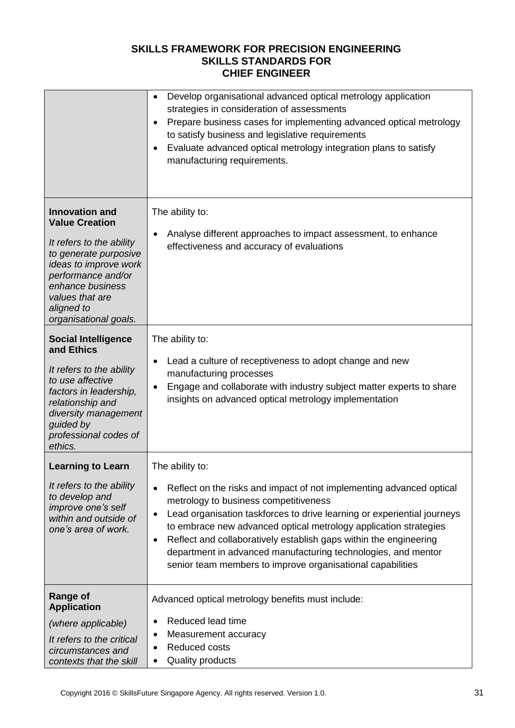|                                                                                                                                                                                                                                  | Develop organisational advanced optical metrology application<br>$\bullet$<br>strategies in consideration of assessments<br>Prepare business cases for implementing advanced optical metrology<br>٠<br>to satisfy business and legislative requirements<br>Evaluate advanced optical metrology integration plans to satisfy<br>٠<br>manufacturing requirements.                                                                                                                                                            |
|----------------------------------------------------------------------------------------------------------------------------------------------------------------------------------------------------------------------------------|----------------------------------------------------------------------------------------------------------------------------------------------------------------------------------------------------------------------------------------------------------------------------------------------------------------------------------------------------------------------------------------------------------------------------------------------------------------------------------------------------------------------------|
| <b>Innovation and</b><br><b>Value Creation</b><br>It refers to the ability<br>to generate purposive<br>ideas to improve work<br>performance and/or<br>enhance business<br>values that are<br>aligned to<br>organisational goals. | The ability to:<br>Analyse different approaches to impact assessment, to enhance<br>٠<br>effectiveness and accuracy of evaluations                                                                                                                                                                                                                                                                                                                                                                                         |
| <b>Social Intelligence</b><br>and Ethics<br>It refers to the ability<br>to use affective<br>factors in leadership,<br>relationship and<br>diversity management<br>guided by<br>professional codes of<br>ethics.                  | The ability to:<br>Lead a culture of receptiveness to adopt change and new<br>manufacturing processes<br>Engage and collaborate with industry subject matter experts to share<br>insights on advanced optical metrology implementation                                                                                                                                                                                                                                                                                     |
| <b>Learning to Learn</b><br>It refers to the ability<br>to develop and<br>improve one's self<br>within and outside of<br>one's area of work.                                                                                     | The ability to:<br>Reflect on the risks and impact of not implementing advanced optical<br>$\bullet$<br>metrology to business competitiveness<br>Lead organisation taskforces to drive learning or experiential journeys<br>$\bullet$<br>to embrace new advanced optical metrology application strategies<br>Reflect and collaboratively establish gaps within the engineering<br>$\bullet$<br>department in advanced manufacturing technologies, and mentor<br>senior team members to improve organisational capabilities |
| <b>Range of</b><br><b>Application</b><br>(where applicable)<br>It refers to the critical<br>circumstances and<br>contexts that the skill                                                                                         | Advanced optical metrology benefits must include:<br>Reduced lead time<br>Measurement accuracy<br>٠<br>Reduced costs<br><b>Quality products</b>                                                                                                                                                                                                                                                                                                                                                                            |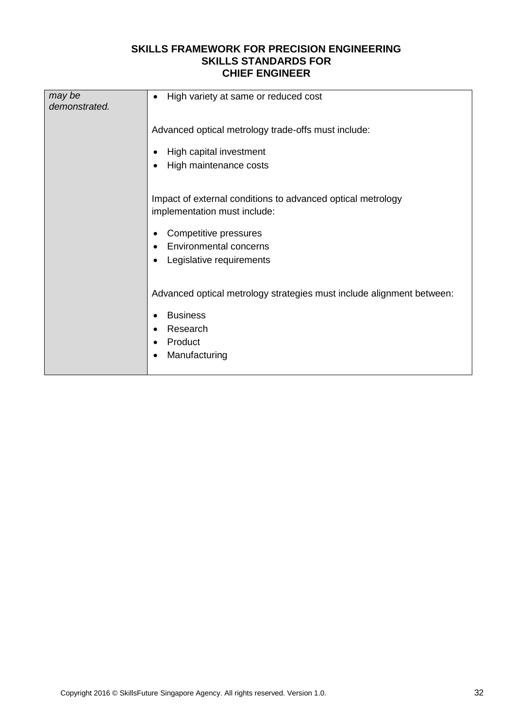| may be<br>demonstrated. | High variety at same or reduced cost<br>$\bullet$                                                                                                                          |
|-------------------------|----------------------------------------------------------------------------------------------------------------------------------------------------------------------------|
|                         | Advanced optical metrology trade-offs must include:<br>High capital investment<br>High maintenance costs<br>٠                                                              |
|                         | Impact of external conditions to advanced optical metrology<br>implementation must include:<br>Competitive pressures<br>Environmental concerns<br>Legislative requirements |
|                         | Advanced optical metrology strategies must include alignment between:<br><b>Business</b><br>Research<br>Product<br>Manufacturing                                           |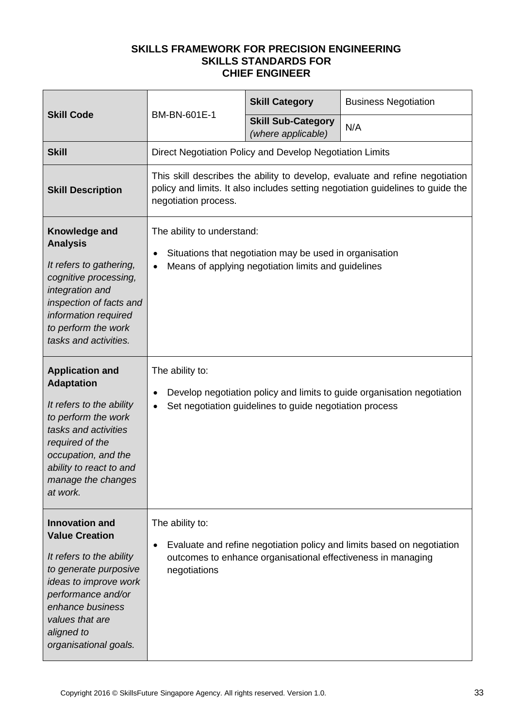| <b>Skill Code</b>                                                                                                                                                                                                                | BM-BN-601E-1                                                                                                                                                                            | <b>Skill Category</b>                                        | <b>Business Negotiation</b>                                             |
|----------------------------------------------------------------------------------------------------------------------------------------------------------------------------------------------------------------------------------|-----------------------------------------------------------------------------------------------------------------------------------------------------------------------------------------|--------------------------------------------------------------|-------------------------------------------------------------------------|
|                                                                                                                                                                                                                                  |                                                                                                                                                                                         | <b>Skill Sub-Category</b><br>(where applicable)              | N/A                                                                     |
| <b>Skill</b>                                                                                                                                                                                                                     |                                                                                                                                                                                         | Direct Negotiation Policy and Develop Negotiation Limits     |                                                                         |
| <b>Skill Description</b>                                                                                                                                                                                                         | This skill describes the ability to develop, evaluate and refine negotiation<br>policy and limits. It also includes setting negotiation guidelines to guide the<br>negotiation process. |                                                              |                                                                         |
| Knowledge and<br><b>Analysis</b><br>It refers to gathering,<br>cognitive processing,<br>integration and<br>inspection of facts and<br>information required<br>to perform the work<br>tasks and activities.                       | The ability to understand:<br>Situations that negotiation may be used in organisation<br>$\bullet$<br>Means of applying negotiation limits and guidelines                               |                                                              |                                                                         |
| <b>Application and</b><br><b>Adaptation</b><br>It refers to the ability<br>to perform the work<br>tasks and activities<br>required of the<br>occupation, and the<br>ability to react to and<br>manage the changes<br>at work.    | The ability to:                                                                                                                                                                         | Set negotiation guidelines to guide negotiation process      | Develop negotiation policy and limits to guide organisation negotiation |
| <b>Innovation and</b><br><b>Value Creation</b><br>It refers to the ability<br>to generate purposive<br>ideas to improve work<br>performance and/or<br>enhance business<br>values that are<br>aligned to<br>organisational goals. | The ability to:<br>negotiations                                                                                                                                                         | outcomes to enhance organisational effectiveness in managing | Evaluate and refine negotiation policy and limits based on negotiation  |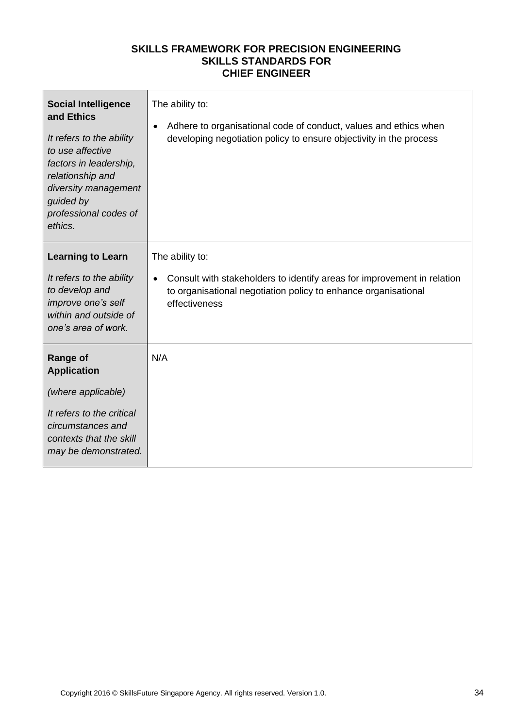| <b>Social Intelligence</b><br>and Ethics<br>It refers to the ability<br>to use affective<br>factors in leadership,<br>relationship and<br>diversity management<br>guided by<br>professional codes of<br>ethics. | The ability to:<br>Adhere to organisational code of conduct, values and ethics when<br>$\bullet$<br>developing negotiation policy to ensure objectivity in the process                     |
|-----------------------------------------------------------------------------------------------------------------------------------------------------------------------------------------------------------------|--------------------------------------------------------------------------------------------------------------------------------------------------------------------------------------------|
| <b>Learning to Learn</b><br>It refers to the ability<br>to develop and<br>improve one's self<br>within and outside of<br>one's area of work.                                                                    | The ability to:<br>Consult with stakeholders to identify areas for improvement in relation<br>$\bullet$<br>to organisational negotiation policy to enhance organisational<br>effectiveness |
| <b>Range of</b><br><b>Application</b><br>(where applicable)<br>It refers to the critical<br>circumstances and<br>contexts that the skill<br>may be demonstrated.                                                | N/A                                                                                                                                                                                        |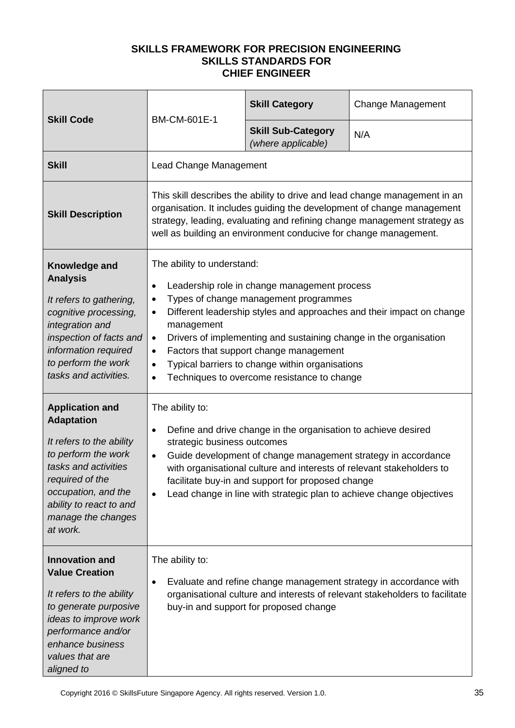| <b>Skill Code</b>                                                                                                                                                                                                             | BM-CM-601E-1                                                                                                                                                                                                                                                                                                                                                                                                                                                                                                   | <b>Skill Category</b>                           | <b>Change Management</b> |
|-------------------------------------------------------------------------------------------------------------------------------------------------------------------------------------------------------------------------------|----------------------------------------------------------------------------------------------------------------------------------------------------------------------------------------------------------------------------------------------------------------------------------------------------------------------------------------------------------------------------------------------------------------------------------------------------------------------------------------------------------------|-------------------------------------------------|--------------------------|
|                                                                                                                                                                                                                               |                                                                                                                                                                                                                                                                                                                                                                                                                                                                                                                | <b>Skill Sub-Category</b><br>(where applicable) | N/A                      |
| <b>Skill</b>                                                                                                                                                                                                                  | <b>Lead Change Management</b>                                                                                                                                                                                                                                                                                                                                                                                                                                                                                  |                                                 |                          |
| <b>Skill Description</b>                                                                                                                                                                                                      | This skill describes the ability to drive and lead change management in an<br>organisation. It includes guiding the development of change management<br>strategy, leading, evaluating and refining change management strategy as<br>well as building an environment conducive for change management.                                                                                                                                                                                                           |                                                 |                          |
| Knowledge and<br><b>Analysis</b><br>It refers to gathering,<br>cognitive processing,<br>integration and<br>inspection of facts and<br>information required<br>to perform the work<br>tasks and activities.                    | The ability to understand:<br>Leadership role in change management process<br>٠<br>Types of change management programmes<br>$\bullet$<br>Different leadership styles and approaches and their impact on change<br>$\bullet$<br>management<br>Drivers of implementing and sustaining change in the organisation<br>$\bullet$<br>Factors that support change management<br>$\bullet$<br>Typical barriers to change within organisations<br>$\bullet$<br>Techniques to overcome resistance to change<br>$\bullet$ |                                                 |                          |
| <b>Application and</b><br><b>Adaptation</b><br>It refers to the ability<br>to perform the work<br>tasks and activities<br>required of the<br>occupation, and the<br>ability to react to and<br>manage the changes<br>at work. | The ability to:<br>Define and drive change in the organisation to achieve desired<br>$\bullet$<br>strategic business outcomes<br>Guide development of change management strategy in accordance<br>$\bullet$<br>with organisational culture and interests of relevant stakeholders to<br>facilitate buy-in and support for proposed change<br>Lead change in line with strategic plan to achieve change objectives                                                                                              |                                                 |                          |
| <b>Innovation and</b><br><b>Value Creation</b><br>It refers to the ability<br>to generate purposive<br>ideas to improve work<br>performance and/or<br>enhance business<br>values that are<br>aligned to                       | The ability to:<br>Evaluate and refine change management strategy in accordance with<br>organisational culture and interests of relevant stakeholders to facilitate<br>buy-in and support for proposed change                                                                                                                                                                                                                                                                                                  |                                                 |                          |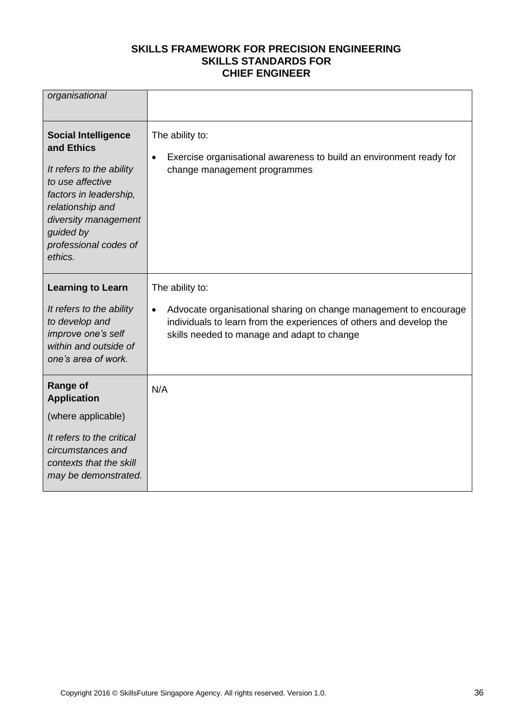| organisational                                                                                                                                                                                                  |                                                                                                                                                                                                      |
|-----------------------------------------------------------------------------------------------------------------------------------------------------------------------------------------------------------------|------------------------------------------------------------------------------------------------------------------------------------------------------------------------------------------------------|
| <b>Social Intelligence</b><br>and Ethics<br>It refers to the ability<br>to use affective<br>factors in leadership,<br>relationship and<br>diversity management<br>guided by<br>professional codes of<br>ethics. | The ability to:<br>Exercise organisational awareness to build an environment ready for<br>$\bullet$<br>change management programmes                                                                  |
| <b>Learning to Learn</b>                                                                                                                                                                                        | The ability to:                                                                                                                                                                                      |
| It refers to the ability<br>to develop and<br>improve one's self<br>within and outside of<br>one's area of work.                                                                                                | Advocate organisational sharing on change management to encourage<br>$\bullet$<br>individuals to learn from the experiences of others and develop the<br>skills needed to manage and adapt to change |
| Range of<br><b>Application</b>                                                                                                                                                                                  | N/A                                                                                                                                                                                                  |
| (where applicable)                                                                                                                                                                                              |                                                                                                                                                                                                      |
| It refers to the critical<br>circumstances and<br>contexts that the skill<br>may be demonstrated.                                                                                                               |                                                                                                                                                                                                      |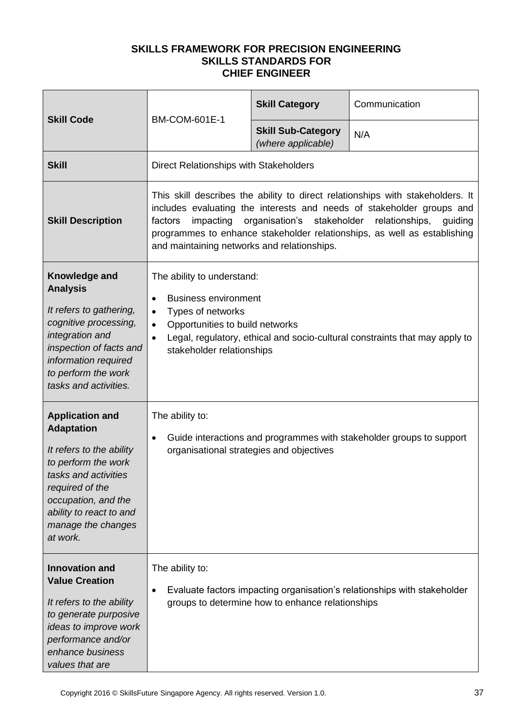| <b>Skill Code</b>                                                                                                                                                                                                             | <b>BM-COM-601E-1</b>                                                                                                                                                                                                                                                                                                                                                     | <b>Skill Category</b>                            | Communication                                                            |
|-------------------------------------------------------------------------------------------------------------------------------------------------------------------------------------------------------------------------------|--------------------------------------------------------------------------------------------------------------------------------------------------------------------------------------------------------------------------------------------------------------------------------------------------------------------------------------------------------------------------|--------------------------------------------------|--------------------------------------------------------------------------|
|                                                                                                                                                                                                                               |                                                                                                                                                                                                                                                                                                                                                                          | <b>Skill Sub-Category</b><br>(where applicable)  | N/A                                                                      |
| <b>Skill</b>                                                                                                                                                                                                                  | Direct Relationships with Stakeholders                                                                                                                                                                                                                                                                                                                                   |                                                  |                                                                          |
| <b>Skill Description</b>                                                                                                                                                                                                      | This skill describes the ability to direct relationships with stakeholders. It<br>includes evaluating the interests and needs of stakeholder groups and<br>organisation's<br>stakeholder<br>impacting<br>relationships,<br>factors<br>guiding<br>programmes to enhance stakeholder relationships, as well as establishing<br>and maintaining networks and relationships. |                                                  |                                                                          |
| Knowledge and<br><b>Analysis</b><br>It refers to gathering,<br>cognitive processing,<br>integration and<br>inspection of facts and<br>information required<br>to perform the work<br>tasks and activities.                    | The ability to understand:<br><b>Business environment</b><br>$\bullet$<br>Types of networks<br>$\bullet$<br>Opportunities to build networks<br>$\bullet$<br>Legal, regulatory, ethical and socio-cultural constraints that may apply to<br>$\bullet$<br>stakeholder relationships                                                                                        |                                                  |                                                                          |
| <b>Application and</b><br><b>Adaptation</b><br>It refers to the ability<br>to perform the work<br>tasks and activities<br>required of the<br>occupation, and the<br>ability to react to and<br>manage the changes<br>at work. | The ability to:<br>Guide interactions and programmes with stakeholder groups to support<br>$\bullet$<br>organisational strategies and objectives                                                                                                                                                                                                                         |                                                  |                                                                          |
| <b>Innovation and</b><br><b>Value Creation</b><br>It refers to the ability<br>to generate purposive<br>ideas to improve work<br>performance and/or<br>enhance business<br>values that are                                     | The ability to:<br>$\bullet$                                                                                                                                                                                                                                                                                                                                             | groups to determine how to enhance relationships | Evaluate factors impacting organisation's relationships with stakeholder |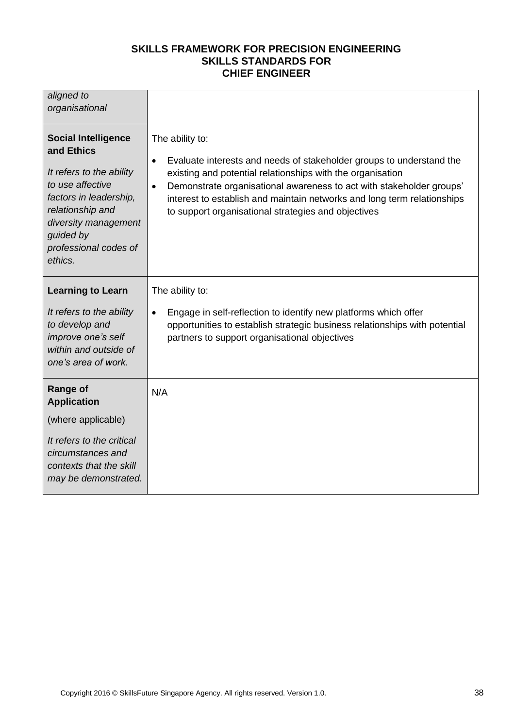| aligned to<br>organisational                                                                                                                                                                                    |                                                                                                                                                                                                                                                                                                                                                                                           |
|-----------------------------------------------------------------------------------------------------------------------------------------------------------------------------------------------------------------|-------------------------------------------------------------------------------------------------------------------------------------------------------------------------------------------------------------------------------------------------------------------------------------------------------------------------------------------------------------------------------------------|
| <b>Social Intelligence</b><br>and Ethics<br>It refers to the ability<br>to use affective<br>factors in leadership,<br>relationship and<br>diversity management<br>guided by<br>professional codes of<br>ethics. | The ability to:<br>Evaluate interests and needs of stakeholder groups to understand the<br>$\bullet$<br>existing and potential relationships with the organisation<br>Demonstrate organisational awareness to act with stakeholder groups'<br>$\bullet$<br>interest to establish and maintain networks and long term relationships<br>to support organisational strategies and objectives |
| <b>Learning to Learn</b><br>It refers to the ability<br>to develop and<br>improve one's self<br>within and outside of<br>one's area of work.                                                                    | The ability to:<br>Engage in self-reflection to identify new platforms which offer<br>$\bullet$<br>opportunities to establish strategic business relationships with potential<br>partners to support organisational objectives                                                                                                                                                            |
| Range of<br><b>Application</b><br>(where applicable)<br>It refers to the critical<br>circumstances and<br>contexts that the skill<br>may be demonstrated.                                                       | N/A                                                                                                                                                                                                                                                                                                                                                                                       |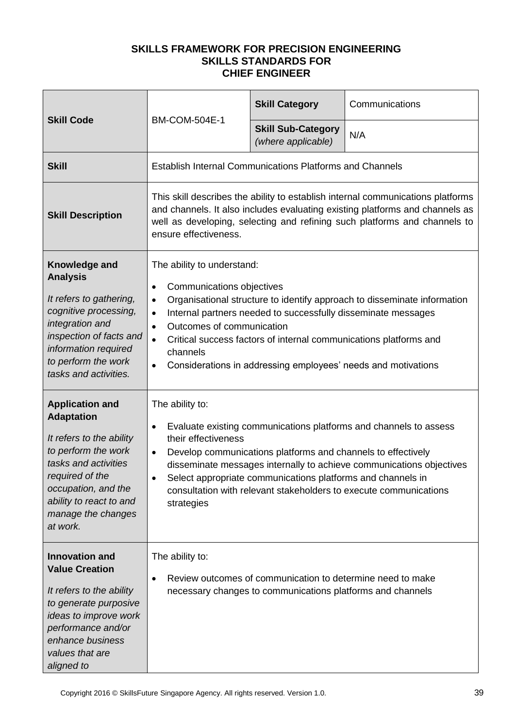| <b>Skill Code</b>                                                                                                                                                                                                             |                                                                                                                                                                                                                                                                                                                                                                                                                                                                   | <b>Skill Category</b>                                                                                                       | Communications                                                                                                                                                                                                 |
|-------------------------------------------------------------------------------------------------------------------------------------------------------------------------------------------------------------------------------|-------------------------------------------------------------------------------------------------------------------------------------------------------------------------------------------------------------------------------------------------------------------------------------------------------------------------------------------------------------------------------------------------------------------------------------------------------------------|-----------------------------------------------------------------------------------------------------------------------------|----------------------------------------------------------------------------------------------------------------------------------------------------------------------------------------------------------------|
|                                                                                                                                                                                                                               | <b>BM-COM-504E-1</b>                                                                                                                                                                                                                                                                                                                                                                                                                                              | <b>Skill Sub-Category</b><br>(where applicable)                                                                             | N/A                                                                                                                                                                                                            |
| <b>Skill</b>                                                                                                                                                                                                                  | <b>Establish Internal Communications Platforms and Channels</b>                                                                                                                                                                                                                                                                                                                                                                                                   |                                                                                                                             |                                                                                                                                                                                                                |
| <b>Skill Description</b>                                                                                                                                                                                                      | This skill describes the ability to establish internal communications platforms<br>and channels. It also includes evaluating existing platforms and channels as<br>well as developing, selecting and refining such platforms and channels to<br>ensure effectiveness.                                                                                                                                                                                             |                                                                                                                             |                                                                                                                                                                                                                |
| Knowledge and<br><b>Analysis</b><br>It refers to gathering,<br>cognitive processing,<br>integration and<br>inspection of facts and<br>information required<br>to perform the work<br>tasks and activities.                    | The ability to understand:<br>Communications objectives<br>$\bullet$<br>Organisational structure to identify approach to disseminate information<br>$\bullet$<br>Internal partners needed to successfully disseminate messages<br>$\bullet$<br>Outcomes of communication<br>$\bullet$<br>Critical success factors of internal communications platforms and<br>$\bullet$<br>channels<br>Considerations in addressing employees' needs and motivations<br>$\bullet$ |                                                                                                                             |                                                                                                                                                                                                                |
| <b>Application and</b><br><b>Adaptation</b><br>It refers to the ability<br>to perform the work<br>tasks and activities<br>required of the<br>occupation, and the<br>ability to react to and<br>manage the changes<br>at work. | The ability to:<br>$\bullet$<br>their effectiveness<br>$\bullet$<br>strategies                                                                                                                                                                                                                                                                                                                                                                                    | Develop communications platforms and channels to effectively<br>Select appropriate communications platforms and channels in | Evaluate existing communications platforms and channels to assess<br>disseminate messages internally to achieve communications objectives<br>consultation with relevant stakeholders to execute communications |
| <b>Innovation and</b><br><b>Value Creation</b><br>It refers to the ability<br>to generate purposive<br>ideas to improve work<br>performance and/or<br>enhance business<br>values that are<br>aligned to                       | The ability to:<br>$\bullet$                                                                                                                                                                                                                                                                                                                                                                                                                                      | Review outcomes of communication to determine need to make<br>necessary changes to communications platforms and channels    |                                                                                                                                                                                                                |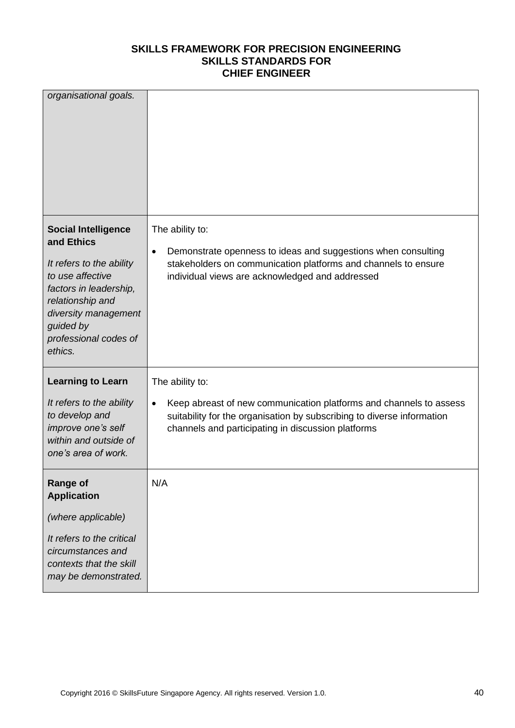| organisational goals.                                                                                                                                                                                           |                                                                                                                                                                                                                       |
|-----------------------------------------------------------------------------------------------------------------------------------------------------------------------------------------------------------------|-----------------------------------------------------------------------------------------------------------------------------------------------------------------------------------------------------------------------|
| <b>Social Intelligence</b><br>and Ethics<br>It refers to the ability<br>to use affective<br>factors in leadership,<br>relationship and<br>diversity management<br>guided by<br>professional codes of<br>ethics. | The ability to:<br>Demonstrate openness to ideas and suggestions when consulting<br>$\bullet$<br>stakeholders on communication platforms and channels to ensure<br>individual views are acknowledged and addressed    |
| <b>Learning to Learn</b><br>It refers to the ability<br>to develop and<br>improve one's self<br>within and outside of<br>one's area of work.                                                                    | The ability to:<br>Keep abreast of new communication platforms and channels to assess<br>suitability for the organisation by subscribing to diverse information<br>channels and participating in discussion platforms |
| <b>Range of</b><br><b>Application</b><br>(where applicable)<br>It refers to the critical<br>circumstances and<br>contexts that the skill<br>may be demonstrated.                                                | N/A                                                                                                                                                                                                                   |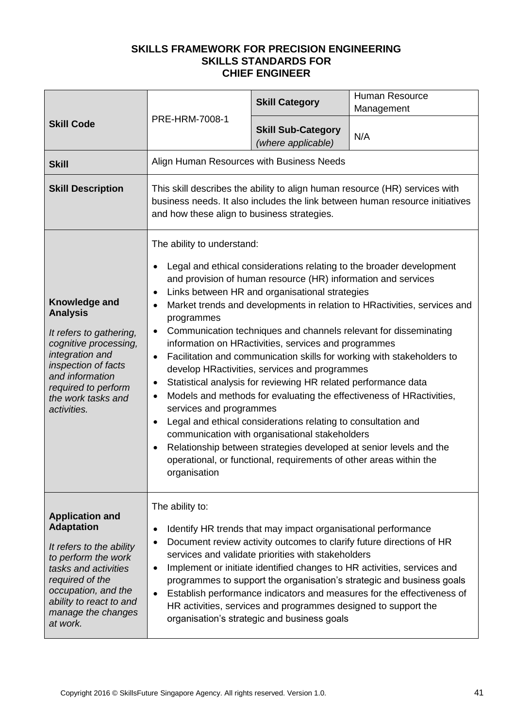|                                                                                                                                                                                                                               |                                                                                                                                                                                                            | <b>Skill Category</b>                                                                                                                                                                                                                                                                                                                                                                                                                                                               | <b>Human Resource</b><br>Management                                                                                                                                                                                                                                                                                                                                                                                                          |
|-------------------------------------------------------------------------------------------------------------------------------------------------------------------------------------------------------------------------------|------------------------------------------------------------------------------------------------------------------------------------------------------------------------------------------------------------|-------------------------------------------------------------------------------------------------------------------------------------------------------------------------------------------------------------------------------------------------------------------------------------------------------------------------------------------------------------------------------------------------------------------------------------------------------------------------------------|----------------------------------------------------------------------------------------------------------------------------------------------------------------------------------------------------------------------------------------------------------------------------------------------------------------------------------------------------------------------------------------------------------------------------------------------|
| <b>Skill Code</b>                                                                                                                                                                                                             | PRE-HRM-7008-1                                                                                                                                                                                             | <b>Skill Sub-Category</b><br>(where applicable)                                                                                                                                                                                                                                                                                                                                                                                                                                     | N/A                                                                                                                                                                                                                                                                                                                                                                                                                                          |
| <b>Skill</b>                                                                                                                                                                                                                  | Align Human Resources with Business Needs                                                                                                                                                                  |                                                                                                                                                                                                                                                                                                                                                                                                                                                                                     |                                                                                                                                                                                                                                                                                                                                                                                                                                              |
| <b>Skill Description</b>                                                                                                                                                                                                      | This skill describes the ability to align human resource (HR) services with<br>business needs. It also includes the link between human resource initiatives<br>and how these align to business strategies. |                                                                                                                                                                                                                                                                                                                                                                                                                                                                                     |                                                                                                                                                                                                                                                                                                                                                                                                                                              |
| Knowledge and<br><b>Analysis</b><br>It refers to gathering,<br>cognitive processing,<br>integration and<br>inspection of facts<br>and information<br>required to perform<br>the work tasks and<br>activities.                 | The ability to understand:<br>$\bullet$<br>$\bullet$<br>programmes<br>$\bullet$<br>$\bullet$<br>٠<br>services and programmes<br>$\bullet$<br>$\bullet$<br>organisation                                     | and provision of human resource (HR) information and services<br>Links between HR and organisational strategies<br>information on HRactivities, services and programmes<br>develop HRactivities, services and programmes<br>Statistical analysis for reviewing HR related performance data<br>Legal and ethical considerations relating to consultation and<br>communication with organisational stakeholders<br>operational, or functional, requirements of other areas within the | Legal and ethical considerations relating to the broader development<br>Market trends and developments in relation to HRactivities, services and<br>Communication techniques and channels relevant for disseminating<br>Facilitation and communication skills for working with stakeholders to<br>Models and methods for evaluating the effectiveness of HRactivities,<br>Relationship between strategies developed at senior levels and the |
| <b>Application and</b><br><b>Adaptation</b><br>It refers to the ability<br>to perform the work<br>tasks and activities<br>required of the<br>occupation, and the<br>ability to react to and<br>manage the changes<br>at work. | The ability to:<br>$\bullet$<br>$\bullet$                                                                                                                                                                  | Identify HR trends that may impact organisational performance<br>services and validate priorities with stakeholders<br>HR activities, services and programmes designed to support the<br>organisation's strategic and business goals                                                                                                                                                                                                                                                | Document review activity outcomes to clarify future directions of HR<br>Implement or initiate identified changes to HR activities, services and<br>programmes to support the organisation's strategic and business goals<br>Establish performance indicators and measures for the effectiveness of                                                                                                                                           |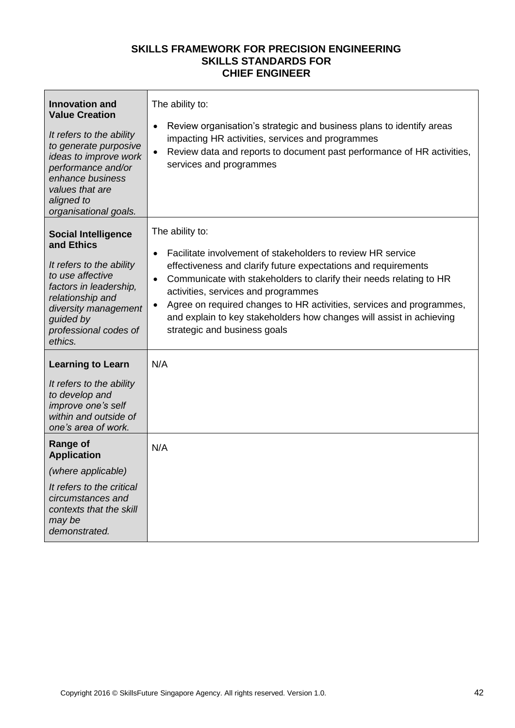| <b>Innovation and</b><br><b>Value Creation</b><br>It refers to the ability<br>to generate purposive<br>ideas to improve work<br>performance and/or<br>enhance business<br>values that are<br>aligned to<br>organisational goals. | The ability to:<br>Review organisation's strategic and business plans to identify areas<br>$\bullet$<br>impacting HR activities, services and programmes<br>Review data and reports to document past performance of HR activities,<br>services and programmes                                                                                                                                                                                                                         |
|----------------------------------------------------------------------------------------------------------------------------------------------------------------------------------------------------------------------------------|---------------------------------------------------------------------------------------------------------------------------------------------------------------------------------------------------------------------------------------------------------------------------------------------------------------------------------------------------------------------------------------------------------------------------------------------------------------------------------------|
| <b>Social Intelligence</b><br>and Ethics<br>It refers to the ability<br>to use affective<br>factors in leadership,<br>relationship and<br>diversity management<br>guided by<br>professional codes of<br>ethics.                  | The ability to:<br>Facilitate involvement of stakeholders to review HR service<br>$\bullet$<br>effectiveness and clarify future expectations and requirements<br>Communicate with stakeholders to clarify their needs relating to HR<br>$\bullet$<br>activities, services and programmes<br>Agree on required changes to HR activities, services and programmes,<br>$\bullet$<br>and explain to key stakeholders how changes will assist in achieving<br>strategic and business goals |
| <b>Learning to Learn</b><br>It refers to the ability<br>to develop and<br>improve one's self<br>within and outside of<br>one's area of work.                                                                                     | N/A                                                                                                                                                                                                                                                                                                                                                                                                                                                                                   |
| Range of<br><b>Application</b><br>(where applicable)<br>It refers to the critical<br>circumstances and<br>contexts that the skill<br>may be<br>demonstrated.                                                                     | N/A                                                                                                                                                                                                                                                                                                                                                                                                                                                                                   |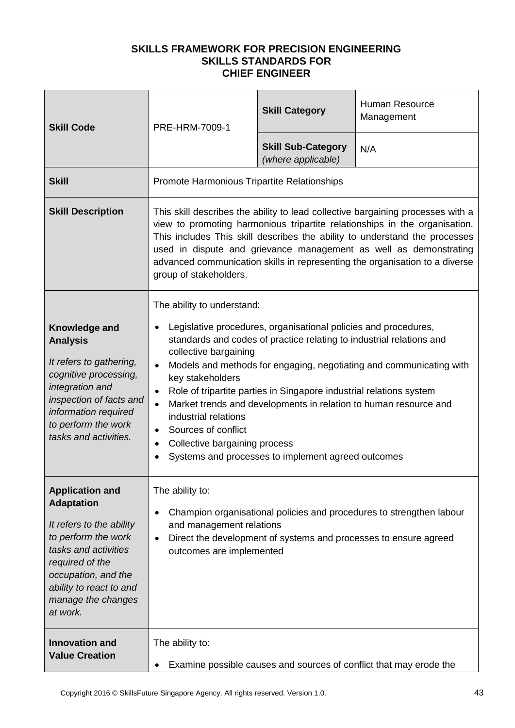| <b>Skill Code</b>                                                                                                                                                                                                             | PRE-HRM-7009-1                                                                                                                                                                                                                                                                                                                                                                                                            | <b>Skill Category</b>                                                                                                                                                                                                                                                                                                                    | Human Resource<br>Management                                                                                                             |
|-------------------------------------------------------------------------------------------------------------------------------------------------------------------------------------------------------------------------------|---------------------------------------------------------------------------------------------------------------------------------------------------------------------------------------------------------------------------------------------------------------------------------------------------------------------------------------------------------------------------------------------------------------------------|------------------------------------------------------------------------------------------------------------------------------------------------------------------------------------------------------------------------------------------------------------------------------------------------------------------------------------------|------------------------------------------------------------------------------------------------------------------------------------------|
|                                                                                                                                                                                                                               |                                                                                                                                                                                                                                                                                                                                                                                                                           | <b>Skill Sub-Category</b><br>(where applicable)                                                                                                                                                                                                                                                                                          | N/A                                                                                                                                      |
| <b>Skill</b>                                                                                                                                                                                                                  | Promote Harmonious Tripartite Relationships                                                                                                                                                                                                                                                                                                                                                                               |                                                                                                                                                                                                                                                                                                                                          |                                                                                                                                          |
| <b>Skill Description</b>                                                                                                                                                                                                      | This skill describes the ability to lead collective bargaining processes with a<br>view to promoting harmonious tripartite relationships in the organisation.<br>This includes This skill describes the ability to understand the processes<br>used in dispute and grievance management as well as demonstrating<br>advanced communication skills in representing the organisation to a diverse<br>group of stakeholders. |                                                                                                                                                                                                                                                                                                                                          |                                                                                                                                          |
| Knowledge and<br><b>Analysis</b><br>It refers to gathering,<br>cognitive processing,<br>integration and<br>inspection of facts and<br>information required<br>to perform the work<br>tasks and activities.                    | The ability to understand:<br>collective bargaining<br>$\bullet$<br>key stakeholders<br>٠<br>industrial relations<br>Sources of conflict<br>$\bullet$<br>Collective bargaining process<br>٠                                                                                                                                                                                                                               | Legislative procedures, organisational policies and procedures,<br>standards and codes of practice relating to industrial relations and<br>Role of tripartite parties in Singapore industrial relations system<br>Market trends and developments in relation to human resource and<br>Systems and processes to implement agreed outcomes | Models and methods for engaging, negotiating and communicating with                                                                      |
| <b>Application and</b><br><b>Adaptation</b><br>It refers to the ability<br>to perform the work<br>tasks and activities<br>required of the<br>occupation, and the<br>ability to react to and<br>manage the changes<br>at work. | The ability to:<br>٠<br>and management relations<br>$\bullet$<br>outcomes are implemented                                                                                                                                                                                                                                                                                                                                 |                                                                                                                                                                                                                                                                                                                                          | Champion organisational policies and procedures to strengthen labour<br>Direct the development of systems and processes to ensure agreed |
| <b>Innovation and</b><br><b>Value Creation</b>                                                                                                                                                                                | The ability to:<br>٠                                                                                                                                                                                                                                                                                                                                                                                                      |                                                                                                                                                                                                                                                                                                                                          | Examine possible causes and sources of conflict that may erode the                                                                       |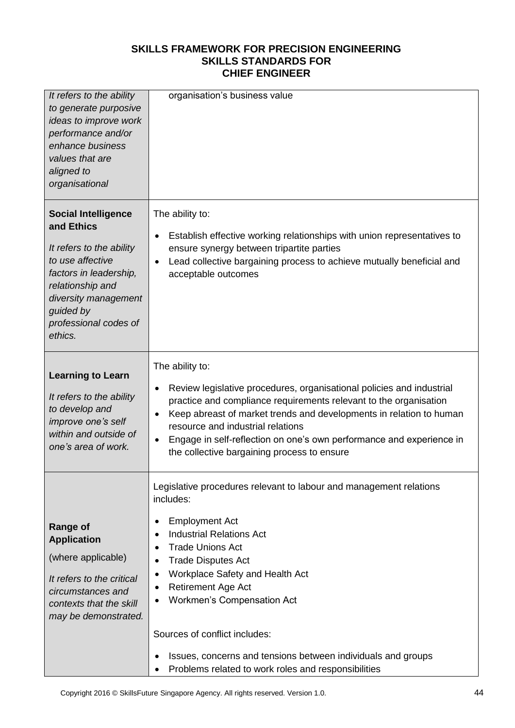| It refers to the ability<br>to generate purposive<br>ideas to improve work<br>performance and/or<br>enhance business<br>values that are<br>aligned to<br>organisational                                         | organisation's business value                                                                                                                                                                                                                                                                                                                                                                                                                                       |
|-----------------------------------------------------------------------------------------------------------------------------------------------------------------------------------------------------------------|---------------------------------------------------------------------------------------------------------------------------------------------------------------------------------------------------------------------------------------------------------------------------------------------------------------------------------------------------------------------------------------------------------------------------------------------------------------------|
| <b>Social Intelligence</b><br>and Ethics<br>It refers to the ability<br>to use affective<br>factors in leadership,<br>relationship and<br>diversity management<br>guided by<br>professional codes of<br>ethics. | The ability to:<br>Establish effective working relationships with union representatives to<br>$\bullet$<br>ensure synergy between tripartite parties<br>Lead collective bargaining process to achieve mutually beneficial and<br>acceptable outcomes                                                                                                                                                                                                                |
| <b>Learning to Learn</b><br>It refers to the ability<br>to develop and<br>improve one's self<br>within and outside of<br>one's area of work.                                                                    | The ability to:<br>Review legislative procedures, organisational policies and industrial<br>practice and compliance requirements relevant to the organisation<br>Keep abreast of market trends and developments in relation to human<br>resource and industrial relations<br>Engage in self-reflection on one's own performance and experience in<br>the collective bargaining process to ensure                                                                    |
| <b>Range of</b><br><b>Application</b><br>(where applicable)<br>It refers to the critical<br>circumstances and<br>contexts that the skill<br>may be demonstrated.                                                | Legislative procedures relevant to labour and management relations<br>includes:<br><b>Employment Act</b><br><b>Industrial Relations Act</b><br><b>Trade Unions Act</b><br>٠<br><b>Trade Disputes Act</b><br>Workplace Safety and Health Act<br>٠<br><b>Retirement Age Act</b><br>Workmen's Compensation Act<br>Sources of conflict includes:<br>Issues, concerns and tensions between individuals and groups<br>Problems related to work roles and responsibilities |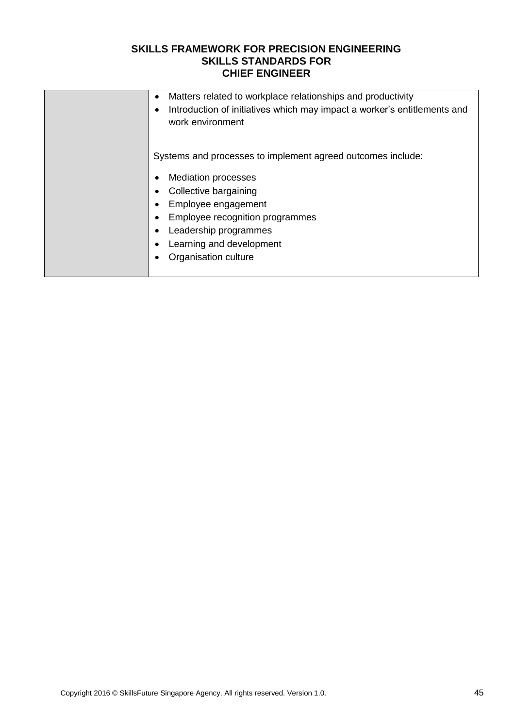| Matters related to workplace relationships and productivity<br>٠<br>Introduction of initiatives which may impact a worker's entitlements and<br>$\bullet$<br>work environment                                                                                          |
|------------------------------------------------------------------------------------------------------------------------------------------------------------------------------------------------------------------------------------------------------------------------|
| Systems and processes to implement agreed outcomes include:<br><b>Mediation processes</b><br>Collective bargaining<br>Employee engagement<br>$\bullet$<br>Employee recognition programmes<br>Leadership programmes<br>Learning and development<br>Organisation culture |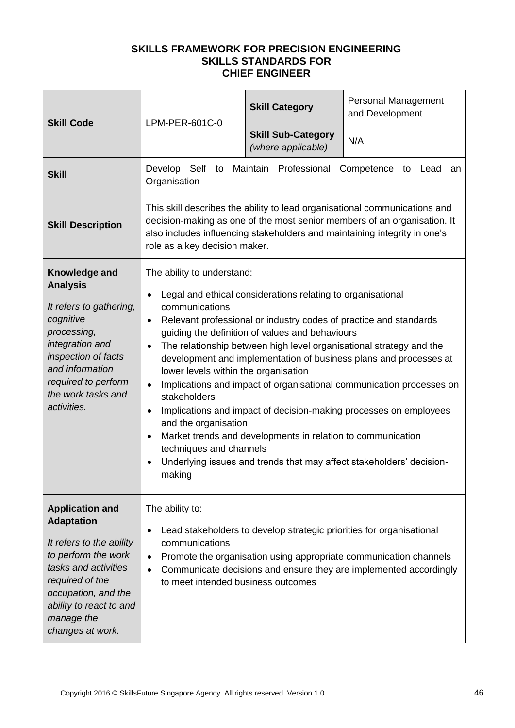| <b>Skill Code</b>                                                                                                                                                                                                             | LPM-PER-601C-0                                                                                                                                                                                                             | <b>Skill Category</b>                                                                                                                                                                                                                              | Personal Management<br>and Development                                                                                                                                                                                                                                                                                                                        |
|-------------------------------------------------------------------------------------------------------------------------------------------------------------------------------------------------------------------------------|----------------------------------------------------------------------------------------------------------------------------------------------------------------------------------------------------------------------------|----------------------------------------------------------------------------------------------------------------------------------------------------------------------------------------------------------------------------------------------------|---------------------------------------------------------------------------------------------------------------------------------------------------------------------------------------------------------------------------------------------------------------------------------------------------------------------------------------------------------------|
|                                                                                                                                                                                                                               |                                                                                                                                                                                                                            | <b>Skill Sub-Category</b><br>(where applicable)                                                                                                                                                                                                    | N/A                                                                                                                                                                                                                                                                                                                                                           |
| <b>Skill</b>                                                                                                                                                                                                                  | Develop Self to Maintain Professional<br>Organisation                                                                                                                                                                      |                                                                                                                                                                                                                                                    | Competence to Lead<br>an                                                                                                                                                                                                                                                                                                                                      |
| <b>Skill Description</b>                                                                                                                                                                                                      | role as a key decision maker.                                                                                                                                                                                              |                                                                                                                                                                                                                                                    | This skill describes the ability to lead organisational communications and<br>decision-making as one of the most senior members of an organisation. It<br>also includes influencing stakeholders and maintaining integrity in one's                                                                                                                           |
| Knowledge and<br><b>Analysis</b><br>It refers to gathering,<br>cognitive<br>processing,<br>integration and<br>inspection of facts<br>and information<br>required to perform<br>the work tasks and<br>activities.              | The ability to understand:<br>communications<br>$\bullet$<br>$\bullet$<br>lower levels within the organisation<br>$\bullet$<br>stakeholders<br>٠<br>and the organisation<br>$\bullet$<br>techniques and channels<br>making | Legal and ethical considerations relating to organisational<br>Relevant professional or industry codes of practice and standards<br>guiding the definition of values and behaviours<br>Market trends and developments in relation to communication | The relationship between high level organisational strategy and the<br>development and implementation of business plans and processes at<br>Implications and impact of organisational communication processes on<br>Implications and impact of decision-making processes on employees<br>Underlying issues and trends that may affect stakeholders' decision- |
| <b>Application and</b><br><b>Adaptation</b><br>It refers to the ability<br>to perform the work<br>tasks and activities<br>required of the<br>occupation, and the<br>ability to react to and<br>manage the<br>changes at work. | The ability to:<br>$\bullet$<br>communications<br>$\bullet$<br>$\bullet$<br>to meet intended business outcomes                                                                                                             | Lead stakeholders to develop strategic priorities for organisational                                                                                                                                                                               | Promote the organisation using appropriate communication channels<br>Communicate decisions and ensure they are implemented accordingly                                                                                                                                                                                                                        |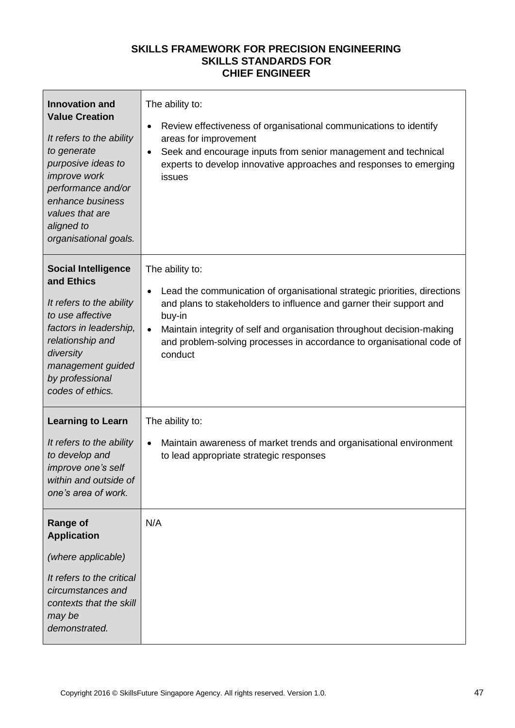| <b>Innovation and</b><br><b>Value Creation</b><br>It refers to the ability<br>to generate<br>purposive ideas to<br>improve work<br>performance and/or<br>enhance business<br>values that are<br>aligned to<br>organisational goals. | The ability to:<br>Review effectiveness of organisational communications to identify<br>areas for improvement<br>Seek and encourage inputs from senior management and technical<br>$\bullet$<br>experts to develop innovative approaches and responses to emerging<br>issues                                                                             |
|-------------------------------------------------------------------------------------------------------------------------------------------------------------------------------------------------------------------------------------|----------------------------------------------------------------------------------------------------------------------------------------------------------------------------------------------------------------------------------------------------------------------------------------------------------------------------------------------------------|
| <b>Social Intelligence</b><br>and Ethics<br>It refers to the ability<br>to use affective<br>factors in leadership,<br>relationship and<br>diversity<br>management guided<br>by professional<br>codes of ethics.                     | The ability to:<br>Lead the communication of organisational strategic priorities, directions<br>$\bullet$<br>and plans to stakeholders to influence and garner their support and<br>buy-in<br>Maintain integrity of self and organisation throughout decision-making<br>and problem-solving processes in accordance to organisational code of<br>conduct |
| <b>Learning to Learn</b><br>It refers to the ability<br>to develop and<br>improve one's self<br>within and outside of<br>one's area of work.                                                                                        | The ability to:<br>Maintain awareness of market trends and organisational environment<br>to lead appropriate strategic responses                                                                                                                                                                                                                         |
| <b>Range of</b><br><b>Application</b><br>(where applicable)<br>It refers to the critical<br>circumstances and<br>contexts that the skill<br>may be<br>demonstrated.                                                                 | N/A                                                                                                                                                                                                                                                                                                                                                      |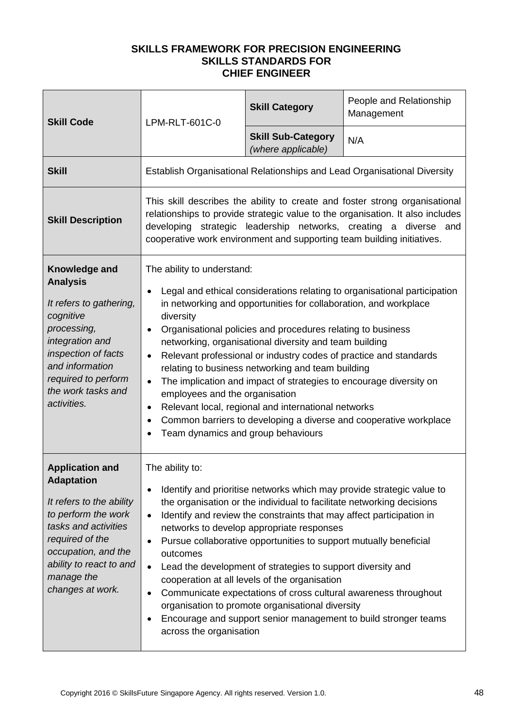| <b>Skill Code</b>                                                                                                                                                                                                             | LPM-RLT-601C-0                                                                                                                                 | <b>Skill Category</b>                                                                                                                                                                                                                                                                                                                                                                                                                            | People and Relationship<br>Management                                                                                                                                                                                             |
|-------------------------------------------------------------------------------------------------------------------------------------------------------------------------------------------------------------------------------|------------------------------------------------------------------------------------------------------------------------------------------------|--------------------------------------------------------------------------------------------------------------------------------------------------------------------------------------------------------------------------------------------------------------------------------------------------------------------------------------------------------------------------------------------------------------------------------------------------|-----------------------------------------------------------------------------------------------------------------------------------------------------------------------------------------------------------------------------------|
|                                                                                                                                                                                                                               |                                                                                                                                                | <b>Skill Sub-Category</b><br>(where applicable)                                                                                                                                                                                                                                                                                                                                                                                                  | N/A                                                                                                                                                                                                                               |
| <b>Skill</b>                                                                                                                                                                                                                  |                                                                                                                                                |                                                                                                                                                                                                                                                                                                                                                                                                                                                  | Establish Organisational Relationships and Lead Organisational Diversity                                                                                                                                                          |
| <b>Skill Description</b>                                                                                                                                                                                                      | cooperative work environment and supporting team building initiatives.                                                                         |                                                                                                                                                                                                                                                                                                                                                                                                                                                  | This skill describes the ability to create and foster strong organisational<br>relationships to provide strategic value to the organisation. It also includes<br>developing strategic leadership networks, creating a diverse and |
| Knowledge and<br><b>Analysis</b><br>It refers to gathering,<br>cognitive<br>processing,<br>integration and<br>inspection of facts<br>and information<br>required to perform<br>the work tasks and<br>activities.              | The ability to understand:<br>diversity<br>$\bullet$<br>$\bullet$<br>employees and the organisation<br>٠<br>Team dynamics and group behaviours | in networking and opportunities for collaboration, and workplace<br>Organisational policies and procedures relating to business<br>networking, organisational diversity and team building<br>Relevant professional or industry codes of practice and standards<br>relating to business networking and team building<br>The implication and impact of strategies to encourage diversity on<br>Relevant local, regional and international networks | Legal and ethical considerations relating to organisational participation<br>Common barriers to developing a diverse and cooperative workplace                                                                                    |
| <b>Application and</b><br><b>Adaptation</b><br>It refers to the ability<br>to perform the work<br>tasks and activities<br>required of the<br>occupation, and the<br>ability to react to and<br>manage the<br>changes at work. | The ability to:<br>$\bullet$<br>$\bullet$<br>outcomes<br>$\bullet$<br>$\bullet$<br>٠<br>across the organisation                                | the organisation or the individual to facilitate networking decisions<br>Identify and review the constraints that may affect participation in<br>networks to develop appropriate responses<br>Pursue collaborative opportunities to support mutually beneficial<br>Lead the development of strategies to support diversity and<br>cooperation at all levels of the organisation<br>organisation to promote organisational diversity              | Identify and prioritise networks which may provide strategic value to<br>Communicate expectations of cross cultural awareness throughout<br>Encourage and support senior management to build stronger teams                       |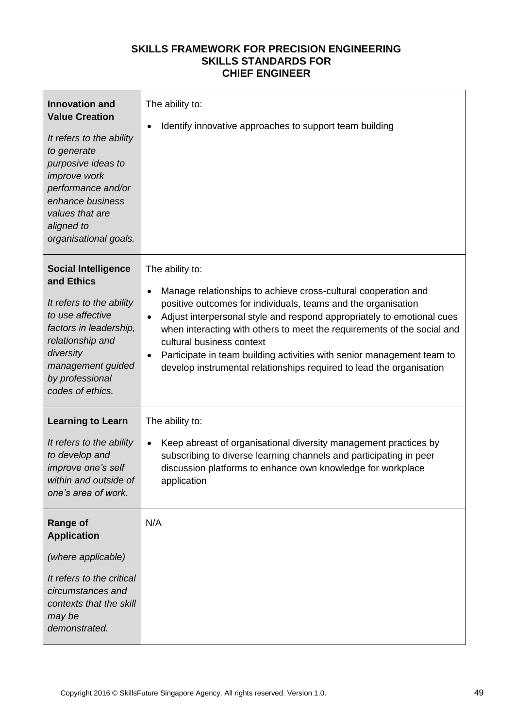| <b>Innovation and</b><br><b>Value Creation</b><br>It refers to the ability<br>to generate<br>purposive ideas to<br><i>improve</i> work<br>performance and/or<br>enhance business<br>values that are<br>aligned to<br>organisational goals. | The ability to:<br>Identify innovative approaches to support team building<br>$\bullet$                                                                                                                                                                                                                                                                                                                                                                                                                                       |
|--------------------------------------------------------------------------------------------------------------------------------------------------------------------------------------------------------------------------------------------|-------------------------------------------------------------------------------------------------------------------------------------------------------------------------------------------------------------------------------------------------------------------------------------------------------------------------------------------------------------------------------------------------------------------------------------------------------------------------------------------------------------------------------|
| <b>Social Intelligence</b><br>and Ethics<br>It refers to the ability<br>to use affective<br>factors in leadership,<br>relationship and<br>diversity<br>management guided<br>by professional<br>codes of ethics.                            | The ability to:<br>Manage relationships to achieve cross-cultural cooperation and<br>$\bullet$<br>positive outcomes for individuals, teams and the organisation<br>Adjust interpersonal style and respond appropriately to emotional cues<br>$\bullet$<br>when interacting with others to meet the requirements of the social and<br>cultural business context<br>Participate in team building activities with senior management team to<br>$\bullet$<br>develop instrumental relationships required to lead the organisation |
| <b>Learning to Learn</b><br>It refers to the ability<br>to develop and<br>improve one's self<br>within and outside of<br>one's area of work.                                                                                               | The ability to:<br>Keep abreast of organisational diversity management practices by<br>$\bullet$<br>subscribing to diverse learning channels and participating in peer<br>discussion platforms to enhance own knowledge for workplace<br>application                                                                                                                                                                                                                                                                          |
| <b>Range of</b><br><b>Application</b><br>(where applicable)<br>It refers to the critical<br>circumstances and<br>contexts that the skill<br>may be<br>demonstrated.                                                                        | N/A                                                                                                                                                                                                                                                                                                                                                                                                                                                                                                                           |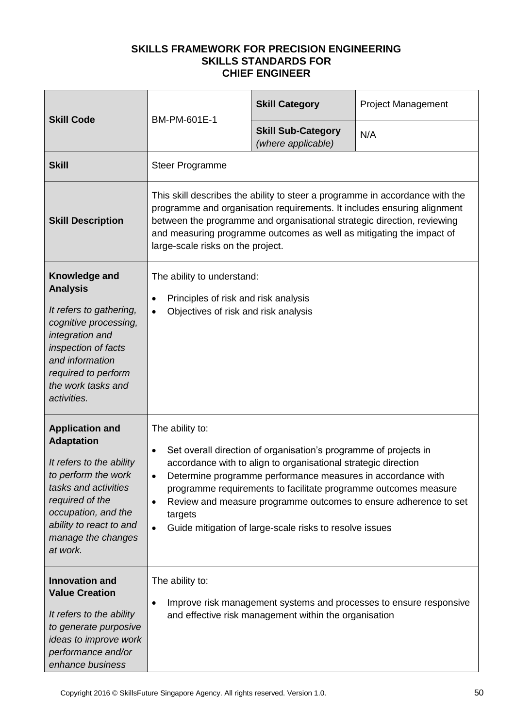| <b>Skill Code</b>                                                                                                                                                                                                             | BM-PM-601E-1                                                                                                                                                                                                                                                                                                                                                                                                                                                | <b>Skill Category</b>                           | <b>Project Management</b> |  |
|-------------------------------------------------------------------------------------------------------------------------------------------------------------------------------------------------------------------------------|-------------------------------------------------------------------------------------------------------------------------------------------------------------------------------------------------------------------------------------------------------------------------------------------------------------------------------------------------------------------------------------------------------------------------------------------------------------|-------------------------------------------------|---------------------------|--|
|                                                                                                                                                                                                                               |                                                                                                                                                                                                                                                                                                                                                                                                                                                             | <b>Skill Sub-Category</b><br>(where applicable) | N/A                       |  |
| <b>Skill</b>                                                                                                                                                                                                                  | <b>Steer Programme</b>                                                                                                                                                                                                                                                                                                                                                                                                                                      |                                                 |                           |  |
| <b>Skill Description</b>                                                                                                                                                                                                      | This skill describes the ability to steer a programme in accordance with the<br>programme and organisation requirements. It includes ensuring alignment<br>between the programme and organisational strategic direction, reviewing<br>and measuring programme outcomes as well as mitigating the impact of<br>large-scale risks on the project.                                                                                                             |                                                 |                           |  |
| Knowledge and<br><b>Analysis</b><br>It refers to gathering,<br>cognitive processing,<br>integration and<br>inspection of facts<br>and information<br>required to perform<br>the work tasks and<br>activities.                 | The ability to understand:<br>Principles of risk and risk analysis<br>$\bullet$<br>Objectives of risk and risk analysis                                                                                                                                                                                                                                                                                                                                     |                                                 |                           |  |
| <b>Application and</b><br><b>Adaptation</b><br>It refers to the ability<br>to perform the work<br>tasks and activities<br>required of the<br>occupation, and the<br>ability to react to and<br>manage the changes<br>at work. | The ability to:<br>Set overall direction of organisation's programme of projects in<br>accordance with to align to organisational strategic direction<br>Determine programme performance measures in accordance with<br>programme requirements to facilitate programme outcomes measure<br>Review and measure programme outcomes to ensure adherence to set<br>$\bullet$<br>targets<br>Guide mitigation of large-scale risks to resolve issues<br>$\bullet$ |                                                 |                           |  |
| <b>Innovation and</b><br><b>Value Creation</b><br>It refers to the ability<br>to generate purposive<br>ideas to improve work<br>performance and/or<br>enhance business                                                        | The ability to:<br>Improve risk management systems and processes to ensure responsive<br>and effective risk management within the organisation                                                                                                                                                                                                                                                                                                              |                                                 |                           |  |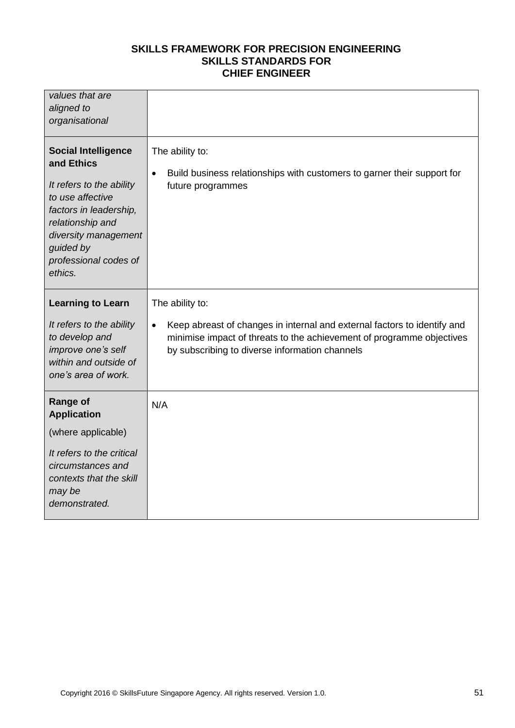| values that are<br>aligned to<br>organisational                                                                                                                                                                 |                                                                                                                                                                                                                                     |
|-----------------------------------------------------------------------------------------------------------------------------------------------------------------------------------------------------------------|-------------------------------------------------------------------------------------------------------------------------------------------------------------------------------------------------------------------------------------|
| <b>Social Intelligence</b><br>and Ethics<br>It refers to the ability<br>to use affective<br>factors in leadership,<br>relationship and<br>diversity management<br>guided by<br>professional codes of<br>ethics. | The ability to:<br>Build business relationships with customers to garner their support for<br>$\bullet$<br>future programmes                                                                                                        |
| <b>Learning to Learn</b><br>It refers to the ability<br>to develop and<br>improve one's self<br>within and outside of<br>one's area of work.                                                                    | The ability to:<br>Keep abreast of changes in internal and external factors to identify and<br>$\bullet$<br>minimise impact of threats to the achievement of programme objectives<br>by subscribing to diverse information channels |
| <b>Range of</b><br><b>Application</b><br>(where applicable)<br>It refers to the critical<br>circumstances and<br>contexts that the skill<br>may be<br>demonstrated.                                             | N/A                                                                                                                                                                                                                                 |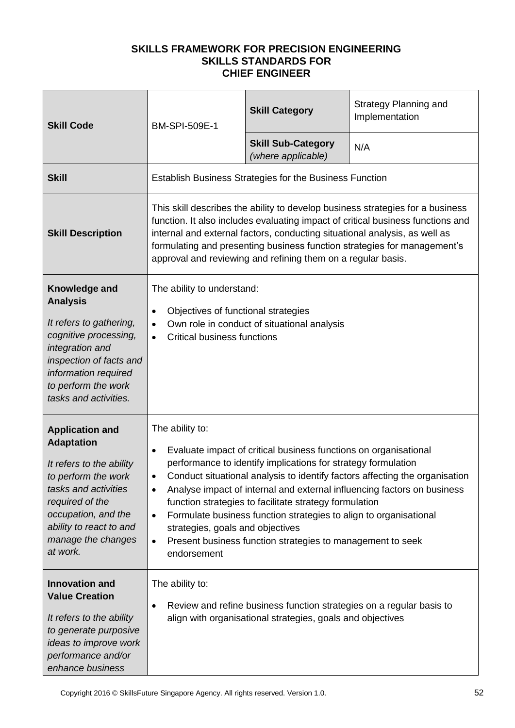| <b>Skill Code</b>                                                                                                                                                                                                             | <b>BM-SPI-509E-1</b>                                                                                                                                                                                                                                                                                                                                                                                                                                                                                                                                                                                               | <b>Skill Category</b>                           | Strategy Planning and<br>Implementation |
|-------------------------------------------------------------------------------------------------------------------------------------------------------------------------------------------------------------------------------|--------------------------------------------------------------------------------------------------------------------------------------------------------------------------------------------------------------------------------------------------------------------------------------------------------------------------------------------------------------------------------------------------------------------------------------------------------------------------------------------------------------------------------------------------------------------------------------------------------------------|-------------------------------------------------|-----------------------------------------|
|                                                                                                                                                                                                                               |                                                                                                                                                                                                                                                                                                                                                                                                                                                                                                                                                                                                                    | <b>Skill Sub-Category</b><br>(where applicable) | N/A                                     |
| <b>Skill</b>                                                                                                                                                                                                                  | Establish Business Strategies for the Business Function                                                                                                                                                                                                                                                                                                                                                                                                                                                                                                                                                            |                                                 |                                         |
| <b>Skill Description</b>                                                                                                                                                                                                      | This skill describes the ability to develop business strategies for a business<br>function. It also includes evaluating impact of critical business functions and<br>internal and external factors, conducting situational analysis, as well as<br>formulating and presenting business function strategies for management's<br>approval and reviewing and refining them on a regular basis.                                                                                                                                                                                                                        |                                                 |                                         |
| Knowledge and<br><b>Analysis</b><br>It refers to gathering,<br>cognitive processing,<br>integration and<br>inspection of facts and<br>information required<br>to perform the work<br>tasks and activities.                    | The ability to understand:<br>Objectives of functional strategies<br>$\bullet$<br>Own role in conduct of situational analysis<br>$\bullet$<br><b>Critical business functions</b><br>$\bullet$                                                                                                                                                                                                                                                                                                                                                                                                                      |                                                 |                                         |
| <b>Application and</b><br><b>Adaptation</b><br>It refers to the ability<br>to perform the work<br>tasks and activities<br>required of the<br>occupation, and the<br>ability to react to and<br>manage the changes<br>at work. | The ability to:<br>Evaluate impact of critical business functions on organisational<br>$\bullet$<br>performance to identify implications for strategy formulation<br>Conduct situational analysis to identify factors affecting the organisation<br>Analyse impact of internal and external influencing factors on business<br>$\bullet$<br>function strategies to facilitate strategy formulation<br>Formulate business function strategies to align to organisational<br>$\bullet$<br>strategies, goals and objectives<br>Present business function strategies to management to seek<br>$\bullet$<br>endorsement |                                                 |                                         |
| <b>Innovation and</b><br><b>Value Creation</b><br>It refers to the ability<br>to generate purposive<br>ideas to improve work<br>performance and/or<br>enhance business                                                        | The ability to:<br>Review and refine business function strategies on a regular basis to<br>$\bullet$<br>align with organisational strategies, goals and objectives                                                                                                                                                                                                                                                                                                                                                                                                                                                 |                                                 |                                         |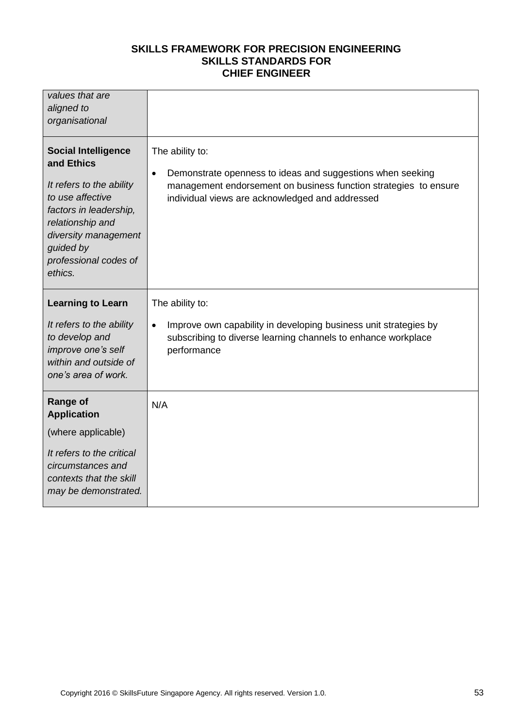| values that are<br>aligned to<br>organisational                                                                                                                                                                 |                                                                                                                                                                                                                   |
|-----------------------------------------------------------------------------------------------------------------------------------------------------------------------------------------------------------------|-------------------------------------------------------------------------------------------------------------------------------------------------------------------------------------------------------------------|
| <b>Social Intelligence</b><br>and Ethics<br>It refers to the ability<br>to use affective<br>factors in leadership,<br>relationship and<br>diversity management<br>guided by<br>professional codes of<br>ethics. | The ability to:<br>Demonstrate openness to ideas and suggestions when seeking<br>$\bullet$<br>management endorsement on business function strategies to ensure<br>individual views are acknowledged and addressed |
| <b>Learning to Learn</b>                                                                                                                                                                                        | The ability to:                                                                                                                                                                                                   |
| It refers to the ability<br>to develop and<br>improve one's self<br>within and outside of<br>one's area of work.                                                                                                | Improve own capability in developing business unit strategies by<br>$\bullet$<br>subscribing to diverse learning channels to enhance workplace<br>performance                                                     |
| <b>Range of</b><br><b>Application</b>                                                                                                                                                                           | N/A                                                                                                                                                                                                               |
| (where applicable)                                                                                                                                                                                              |                                                                                                                                                                                                                   |
| It refers to the critical<br>circumstances and<br>contexts that the skill<br>may be demonstrated.                                                                                                               |                                                                                                                                                                                                                   |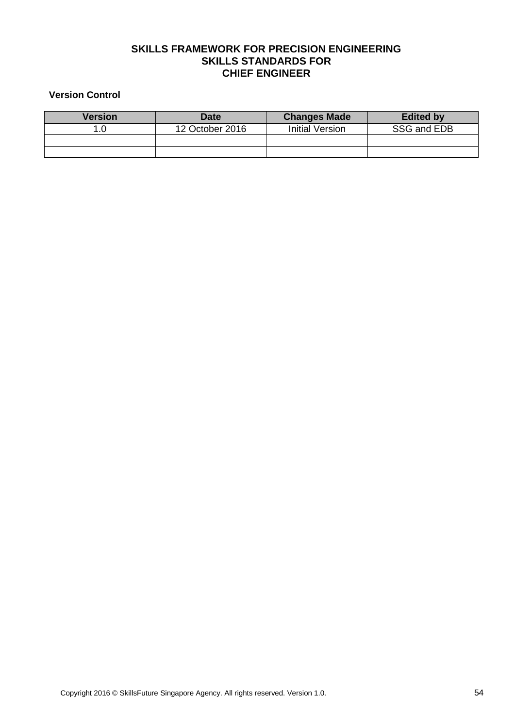#### **Version Control**

| <b>Version</b> | <b>Date</b>     | <b>Changes Made</b>    | <b>Edited by</b> |
|----------------|-----------------|------------------------|------------------|
| 1.0            | 12 October 2016 | <b>Initial Version</b> | SSG and EDB      |
|                |                 |                        |                  |
|                |                 |                        |                  |